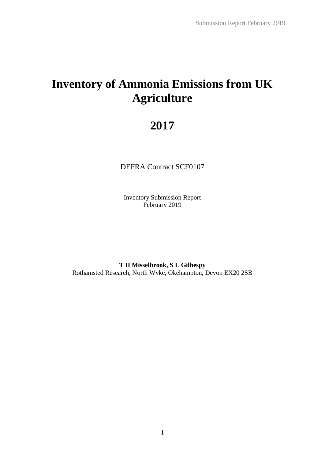# **Inventory of Ammonia Emissions from UK Agriculture**

# **2017**

DEFRA Contract SCF0107

Inventory Submission Report February 2019

**T H Misselbrook, S L Gilhespy** Rothamsted Research, North Wyke, Okehampton, Devon EX20 2SB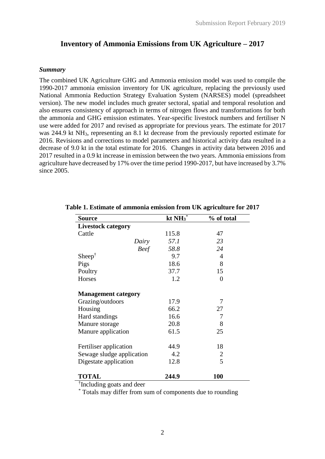# **Inventory of Ammonia Emissions from UK Agriculture – 2017**

#### *Summary*

The combined UK Agriculture GHG and Ammonia emission model was used to compile the 1990-2017 ammonia emission inventory for UK agriculture, replacing the previously used National Ammonia Reduction Strategy Evaluation System (NARSES) model (spreadsheet version). The new model includes much greater sectoral, spatial and temporal resolution and also ensures consistency of approach in terms of nitrogen flows and transformations for both the ammonia and GHG emission estimates. Year-specific livestock numbers and fertiliser N use were added for 2017 and revised as appropriate for previous years. The estimate for 2017 was 244.9 kt NH<sub>3</sub>, representing an 8.1 kt decrease from the previously reported estimate for 2016. Revisions and corrections to model parameters and historical activity data resulted in a decrease of 9.0 kt in the total estimate for 2016. Changes in activity data between 2016 and 2017 resulted in a 0.9 kt increase in emission between the two years. Ammonia emissions from agriculture have decreased by 17% over the time period 1990-2017, but have increased by 3.7% since 2005.

| <b>Source</b>              | kt $NH_3$ <sup>*</sup> | % of total |  |  |  |  |
|----------------------------|------------------------|------------|--|--|--|--|
| <b>Livestock category</b>  |                        |            |  |  |  |  |
| Cattle                     | 115.8                  | 47         |  |  |  |  |
| Dairy                      | 57.1                   | 23         |  |  |  |  |
| <b>Beef</b>                | 58.8                   | 24         |  |  |  |  |
| Sheep <sup>†</sup>         | 9.7                    | 4          |  |  |  |  |
| Pigs                       | 18.6                   | 8          |  |  |  |  |
| Poultry                    | 37.7                   | 15         |  |  |  |  |
| Horses                     | 1.2                    | 0          |  |  |  |  |
| <b>Management category</b> |                        |            |  |  |  |  |
| Grazing/outdoors           | 17.9                   | 7          |  |  |  |  |
| Housing                    | 66.2                   | 27         |  |  |  |  |
| Hard standings             | 16.6                   | 7          |  |  |  |  |
| Manure storage             | 20.8                   | 8          |  |  |  |  |
| Manure application         | 61.5                   | 25         |  |  |  |  |
| Fertiliser application     | 44.9                   | 18         |  |  |  |  |
| Sewage sludge application  | 4.2                    | 2          |  |  |  |  |
| Digestate application      | 12.8                   | 5          |  |  |  |  |
| <b>TOTAL</b>               | 244.9                  | <b>100</b> |  |  |  |  |

#### **Table 1. Estimate of ammonia emission from UK agriculture for 2017**

† Including goats and deer

\* Totals may differ from sum of components due to rounding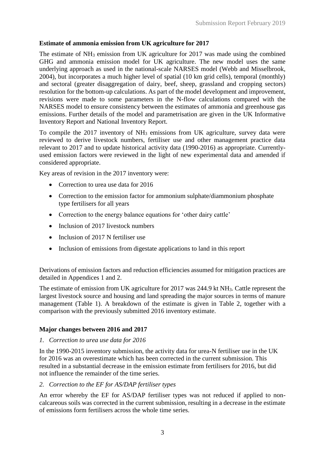# **Estimate of ammonia emission from UK agriculture for 2017**

The estimate of NH<sup>3</sup> emission from UK agriculture for 2017 was made using the combined GHG and ammonia emission model for UK agriculture. The new model uses the same underlying approach as used in the national-scale NARSES model (Webb and Misselbrook, 2004), but incorporates a much higher level of spatial (10 km grid cells), temporal (monthly) and sectoral (greater disaggregation of dairy, beef, sheep, grassland and cropping sectors) resolution for the bottom-up calculations. As part of the model development and improvement, revisions were made to some parameters in the N-flow calculations compared with the NARSES model to ensure consistency between the estimates of ammonia and greenhouse gas emissions. Further details of the model and parametrisation are given in the UK Informative Inventory Report and National Inventory Report.

To compile the 2017 inventory of NH<sup>3</sup> emissions from UK agriculture, survey data were reviewed to derive livestock numbers, fertiliser use and other management practice data relevant to 2017 and to update historical activity data (1990-2016) as appropriate. Currentlyused emission factors were reviewed in the light of new experimental data and amended if considered appropriate.

Key areas of revision in the 2017 inventory were:

- Correction to urea use data for 2016
- Correction to the emission factor for ammonium sulphate/diammonium phosphate type fertilisers for all years
- Correction to the energy balance equations for 'other dairy cattle'
- Inclusion of 2017 livestock numbers
- Inclusion of 2017 N fertiliser use
- Inclusion of emissions from digestate applications to land in this report

Derivations of emission factors and reduction efficiencies assumed for mitigation practices are detailed in Appendices 1 and 2.

The estimate of emission from UK agriculture for 2017 was 244.9 kt NH3. Cattle represent the largest livestock source and housing and land spreading the major sources in terms of manure management (Table 1). A breakdown of the estimate is given in Table 2, together with a comparison with the previously submitted 2016 inventory estimate.

# **Major changes between 2016 and 2017**

#### *1. Correction to urea use data for 2016*

In the 1990-2015 inventory submission, the activity data for urea-N fertiliser use in the UK for 2016 was an overestimate which has been corrected in the current submission. This resulted in a substantial decrease in the emission estimate from fertilisers for 2016, but did not influence the remainder of the time series.

#### *2. Correction to the EF for AS/DAP fertiliser types*

An error whereby the EF for AS/DAP fertiliser types was not reduced if applied to noncalcareous soils was corrected in the current submission, resulting in a decrease in the estimate of emissions form fertilisers across the whole time series.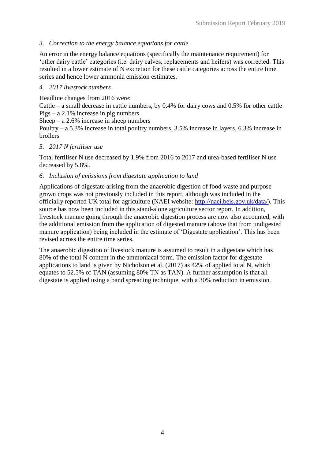# *3. Correction to the energy balance equations for cattle*

An error in the energy balance equations (specifically the maintenance requirement) for 'other dairy cattle' categories (i.e. dairy calves, replacements and heifers) was corrected. This resulted in a lower estimate of N excretion for these cattle categories across the entire time series and hence lower ammonia emission estimates.

# *4. 2017 livestock numbers*

Headline changes from 2016 were:

Cattle – a small decrease in cattle numbers, by 0.4% for dairy cows and 0.5% for other cattle Pigs – a 2.1% increase in pig numbers

Sheep – a  $2.6\%$  increase in sheep numbers

Poultry – a 5.3% increase in total poultry numbers, 3.5% increase in layers, 6.3% increase in broilers

# *5. 2017 N fertiliser use*

Total fertiliser N use decreased by 1.9% from 2016 to 2017 and urea-based fertiliser N use decreased by 5.8%.

## *6. Inclusion of emissions from digestate application to land*

Applications of digestate arising from the anaerobic digestion of food waste and purposegrown crops was not previously included in this report, although was included in the officially reported UK total for agriculture (NAEI website: [http://naei.beis.gov.uk/data/\)](http://naei.beis.gov.uk/data/). This source has now been included in this stand-alone agriculture sector report. In addition, livestock manure going through the anaerobic digestion process are now also accounted, with the additional emission from the application of digested manure (above that from undigested manure application) being included in the estimate of 'Digestate application'. This has been revised across the entire time series.

The anaerobic digestion of livestock manure is assumed to result in a digestate which has 80% of the total N content in the ammoniacal form. The emission factor for digestate applications to land is given by Nicholson et al. (2017) as 42% of applied total N, which equates to 52.5% of TAN (assuming 80% TN as TAN). A further assumption is that all digestate is applied using a band spreading technique, with a 30% reduction in emission.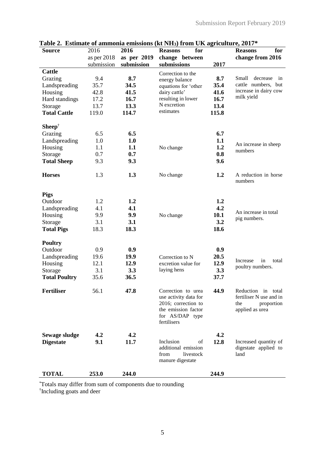|                           |               |             | Table 2. Estimate of ammonia emissions (Kt NH3) from UK agriculture, 2017* |       |                                                |
|---------------------------|---------------|-------------|----------------------------------------------------------------------------|-------|------------------------------------------------|
| <b>Source</b>             | 2016          | 2016        | for<br><b>Reasons</b>                                                      |       | for<br><b>Reasons</b>                          |
|                           | as per $2018$ | as per 2019 | change between                                                             |       | change from 2016                               |
|                           | submission    | submission  | submissions                                                                | 2017  |                                                |
| <b>Cattle</b>             |               |             | Correction to the                                                          |       |                                                |
| Grazing                   | 9.4           | 8.7         | energy balance                                                             | 8.7   | Small<br>decrease<br>in<br>cattle numbers, but |
| Landspreading             | 35.7          | 34.5        | equations for 'other                                                       | 35.4  | increase in dairy cow                          |
| Housing                   | 42.8          | 41.5        | dairy cattle'                                                              | 41.6  | milk yield                                     |
| Hard standings            | 17.2          | 16.7        | resulting in lower<br>N excretion                                          | 16.7  |                                                |
| Storage                   | 13.7          | 13.3        | estimates                                                                  | 13.4  |                                                |
| <b>Total Cattle</b>       | 119.0         | 114.7       |                                                                            | 115.8 |                                                |
|                           |               |             |                                                                            |       |                                                |
| $Sheep†$                  |               |             |                                                                            |       |                                                |
| Grazing                   | 6.5           | 6.5         |                                                                            | 6.7   |                                                |
| Landspreading             | 1.0           | 1.0         |                                                                            | 1.1   | An increase in sheep                           |
| Housing                   | 1.1           | 1.1         | No change                                                                  | 1.2   | numbers                                        |
| Storage                   | 0.7           | 0.7         |                                                                            | 0.8   |                                                |
| <b>Total Sheep</b>        | 9.3           | 9.3         |                                                                            | 9.6   |                                                |
|                           |               |             |                                                                            |       |                                                |
| <b>Horses</b>             | 1.3           | 1.3         | No change                                                                  | 1.2   | A reduction in horse                           |
|                           |               |             |                                                                            |       | numbers                                        |
| <b>Pigs</b>               |               |             |                                                                            |       |                                                |
| Outdoor                   | 1.2           | 1.2         |                                                                            | 1.2   |                                                |
|                           |               | 4.1         |                                                                            |       |                                                |
| Landspreading             | 4.1           |             |                                                                            | 4.2   | An increase in total                           |
| Housing                   | 9.9           | 9.9         | No change                                                                  | 10.1  | pig numbers.                                   |
| Storage                   | 3.1           | 3.1         |                                                                            | 3.2   |                                                |
| <b>Total Pigs</b>         | 18.3          | 18.3        |                                                                            | 18.6  |                                                |
|                           |               |             |                                                                            |       |                                                |
| <b>Poultry</b><br>Outdoor | 0.9           | 0.9         |                                                                            | 0.9   |                                                |
|                           |               |             |                                                                            |       |                                                |
| Landspreading             | 19.6          | 19.9        | Correction to N                                                            | 20.5  | in<br>Increase<br>total                        |
| Housing                   | 12.1          | 12.9        | excretion value for                                                        | 12.9  | poultry numbers.                               |
| Storage                   | 3.1           | 3.3         | laying hens                                                                | 3.3   |                                                |
| <b>Total Poultry</b>      | 35.6          | 36.5        |                                                                            | 37.7  |                                                |
|                           |               |             | Correction to urea                                                         | 44.9  |                                                |
| <b>Fertiliser</b>         | 56.1          | 47.8        | use activity data for                                                      |       | Reduction in total<br>fertiliser N use and in  |
|                           |               |             | 2016; correction to                                                        |       | the<br>proportion                              |
|                           |               |             | the emission factor                                                        |       | applied as urea                                |
|                           |               |             | for AS/DAP type                                                            |       |                                                |
|                           |               |             | fertilisers                                                                |       |                                                |
|                           |               |             |                                                                            |       |                                                |
| <b>Sewage sludge</b>      | 4.2           | 4.2         |                                                                            | 4.2   |                                                |
| <b>Digestate</b>          | 9.1           | 11.7        | Inclusion<br>of                                                            | 12.8  | Increased quantity of                          |
|                           |               |             | additional emission                                                        |       | digestate applied to                           |
|                           |               |             | from<br>livestock                                                          |       | land                                           |
|                           |               |             | manure digestate                                                           |       |                                                |
|                           |               |             |                                                                            |       |                                                |
| <b>TOTAL</b>              | 253.0         | 244.0       |                                                                            | 244.9 |                                                |

**Table 2. Estimate of ammonia emissions (kt NH3) from UK agriculture, 2017\***

\*Totals may differ from sum of components due to rounding † Including goats and deer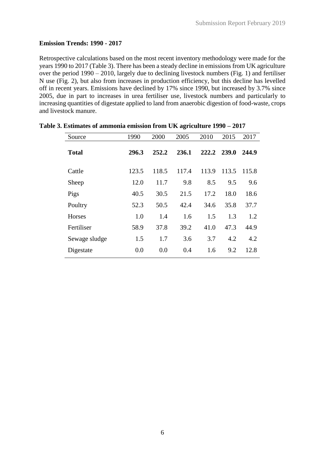# **Emission Trends: 1990 - 2017**

Retrospective calculations based on the most recent inventory methodology were made for the years 1990 to 2017 (Table 3). There has been a steady decline in emissions from UK agriculture over the period 1990 – 2010, largely due to declining livestock numbers (Fig. 1) and fertiliser N use (Fig. 2), but also from increases in production efficiency, but this decline has levelled off in recent years. Emissions have declined by 17% since 1990, but increased by 3.7% since 2005, due in part to increases in urea fertiliser use, livestock numbers and particularly to increasing quantities of digestate applied to land from anaerobic digestion of food-waste, crops and livestock manure.

| Source        | 1990  | 2000  | 2005  | 2010  | 2015  | 2017  |
|---------------|-------|-------|-------|-------|-------|-------|
| <b>Total</b>  | 296.3 | 252.2 | 236.1 | 222.2 | 239.0 | 244.9 |
| Cattle        | 123.5 | 118.5 | 117.4 | 113.9 | 113.5 | 115.8 |
| Sheep         | 12.0  | 11.7  | 9.8   | 8.5   | 9.5   | 9.6   |
| Pigs          | 40.5  | 30.5  | 21.5  | 17.2  | 18.0  | 18.6  |
| Poultry       | 52.3  | 50.5  | 42.4  | 34.6  | 35.8  | 37.7  |
| <b>Horses</b> | 1.0   | 1.4   | 1.6   | 1.5   | 1.3   | 1.2   |
| Fertiliser    | 58.9  | 37.8  | 39.2  | 41.0  | 47.3  | 44.9  |
| Sewage sludge | 1.5   | 1.7   | 3.6   | 3.7   | 4.2   | 4.2   |
| Digestate     | 0.0   | 0.0   | 0.4   | 1.6   | 9.2   | 12.8  |
|               |       |       |       |       |       |       |

#### **Table 3. Estimates of ammonia emission from UK agriculture 1990 – 2017**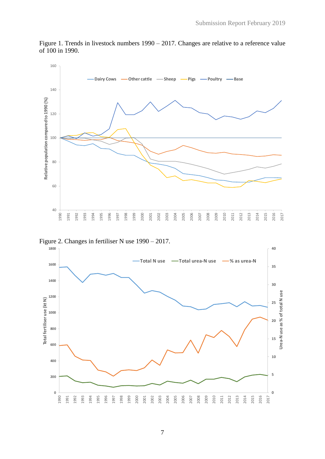

Figure 1. Trends in livestock numbers 1990 – 2017. Changes are relative to a reference value of 100 in 1990.



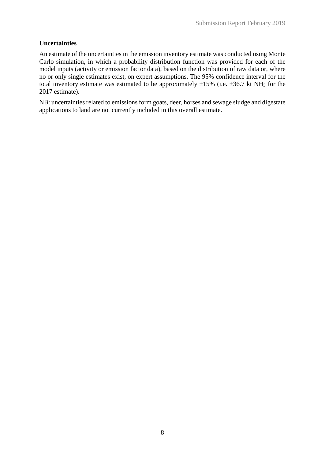# **Uncertainties**

An estimate of the uncertainties in the emission inventory estimate was conducted using Monte Carlo simulation, in which a probability distribution function was provided for each of the model inputs (activity or emission factor data), based on the distribution of raw data or, where no or only single estimates exist, on expert assumptions. The 95% confidence interval for the total inventory estimate was estimated to be approximately  $\pm 15\%$  (i.e.  $\pm 36.7$  kt NH<sub>3</sub> for the 2017 estimate).

NB: uncertainties related to emissions form goats, deer, horses and sewage sludge and digestate applications to land are not currently included in this overall estimate.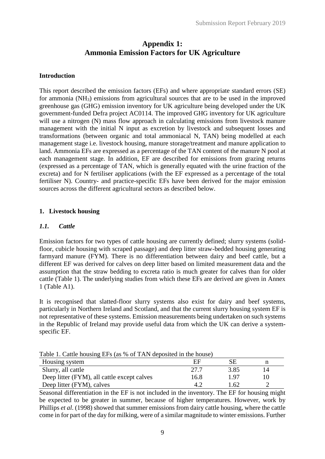# **Appendix 1: Ammonia Emission Factors for UK Agriculture**

# **Introduction**

This report described the emission factors (EFs) and where appropriate standard errors (SE) for ammonia (NH3) emissions from agricultural sources that are to be used in the improved greenhouse gas (GHG) emission inventory for UK agriculture being developed under the UK government-funded Defra project AC0114. The improved GHG inventory for UK agriculture will use a nitrogen (N) mass flow approach in calculating emissions from livestock manure management with the initial N input as excretion by livestock and subsequent losses and transformations (between organic and total ammoniacal N, TAN) being modelled at each management stage i.e. livestock housing, manure storage/treatment and manure application to land. Ammonia EFs are expressed as a percentage of the TAN content of the manure N pool at each management stage. In addition, EF are described for emissions from grazing returns (expressed as a percentage of TAN, which is generally equated with the urine fraction of the excreta) and for N fertiliser applications (with the EF expressed as a percentage of the total fertiliser N). Country- and practice-specific EFs have been derived for the major emission sources across the different agricultural sectors as described below.

# **1. Livestock housing**

# *1.1. Cattle*

Emission factors for two types of cattle housing are currently defined; slurry systems (solidfloor, cubicle housing with scraped passage) and deep litter straw-bedded housing generating farmyard manure (FYM). There is no differentiation between dairy and beef cattle, but a different EF was derived for calves on deep litter based on limited measurement data and the assumption that the straw bedding to excreta ratio is much greater for calves than for older cattle (Table 1). The underlying studies from which these EFs are derived are given in Annex 1 (Table A1).

It is recognised that slatted-floor slurry systems also exist for dairy and beef systems, particularly in Northern Ireland and Scotland, and that the current slurry housing system EF is not representative of these systems. Emission measurements being undertaken on such systems in the Republic of Ireland may provide useful data from which the UK can derive a systemspecific EF.

| Table 1. Cattle housing EFs (as % of TAN deposited in the house) |  |  |  |
|------------------------------------------------------------------|--|--|--|
|------------------------------------------------------------------|--|--|--|

| Housing system                              | ΕF   |      |    |
|---------------------------------------------|------|------|----|
| Slurry, all cattle                          | 27.7 | 3.85 | 14 |
| Deep litter (FYM), all cattle except calves | 16.8 | 1.97 |    |
| Deep litter (FYM), calves                   |      | .62  |    |

Seasonal differentiation in the EF is not included in the inventory. The EF for housing might be expected to be greater in summer, because of higher temperatures. However, work by Phillips *et al*. (1998) showed that summer emissions from dairy cattle housing, where the cattle come in for part of the day for milking, were of a similar magnitude to winter emissions. Further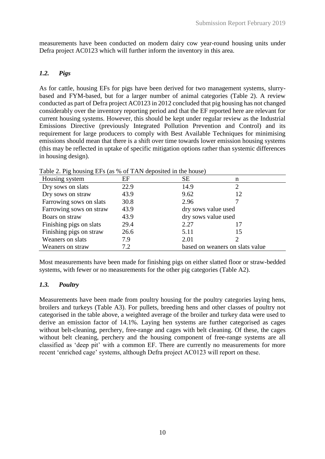measurements have been conducted on modern dairy cow year-round housing units under Defra project AC0123 which will further inform the inventory in this area.

## *1.2. Pigs*

As for cattle, housing EFs for pigs have been derived for two management systems, slurrybased and FYM-based, but for a larger number of animal categories (Table 2). A review conducted as part of Defra project AC0123 in 2012 concluded that pig housing has not changed considerably over the inventory reporting period and that the EF reported here are relevant for current housing systems. However, this should be kept under regular review as the Industrial Emissions Directive (previously Integrated Pollution Prevention and Control) and its requirement for large producers to comply with Best Available Techniques for minimising emissions should mean that there is a shift over time towards lower emission housing systems (this may be reflected in uptake of specific mitigation options rather than systemic differences in housing design).

| Housing system          | EF   | SE                              | n  |  |
|-------------------------|------|---------------------------------|----|--|
| Dry sows on slats       | 22.9 | 14.9                            | ↑  |  |
| Dry sows on straw       | 43.9 | 9.62                            | 12 |  |
| Farrowing sows on slats | 30.8 | 2.96                            |    |  |
| Farrowing sows on straw | 43.9 | dry sows value used             |    |  |
| Boars on straw          | 43.9 | dry sows value used             |    |  |
| Finishing pigs on slats | 29.4 | 2.27                            | 17 |  |
| Finishing pigs on straw | 26.6 | 5.11                            | 15 |  |
| Weaners on slats        | 7.9  | 2.01                            |    |  |
| Weaners on straw        | 7.2  | based on weaners on slats value |    |  |

Table 2. Pig housing EFs (as % of TAN deposited in the house)

Most measurements have been made for finishing pigs on either slatted floor or straw-bedded systems, with fewer or no measurements for the other pig categories (Table A2).

# *1.3. Poultry*

Measurements have been made from poultry housing for the poultry categories laying hens, broilers and turkeys (Table A3). For pullets, breeding hens and other classes of poultry not categorised in the table above, a weighted average of the broiler and turkey data were used to derive an emission factor of 14.1%. Laying hen systems are further categorised as cages without belt-cleaning, perchery, free-range and cages with belt cleaning. Of these, the cages without belt cleaning, perchery and the housing component of free-range systems are all classified as 'deep pit' with a common EF. There are currently no measurements for more recent 'enriched cage' systems, although Defra project AC0123 will report on these.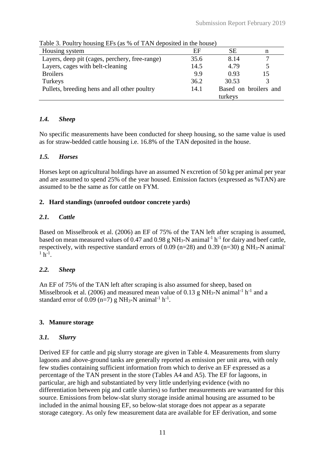| Table 5. I built y housing LI s (as 70 or Trifty deposited in the house) |      |         |                       |  |  |
|--------------------------------------------------------------------------|------|---------|-----------------------|--|--|
| Housing system                                                           | EF   | SЕ      | n                     |  |  |
| Layers, deep pit (cages, perchery, free-range)                           | 35.6 | 8.14    |                       |  |  |
| Layers, cages with belt-cleaning                                         | 14.5 | 4.79    |                       |  |  |
| <b>Broilers</b>                                                          | 9.9  | 0.93    | 15                    |  |  |
| Turkeys                                                                  | 36.2 | 30.53   | $\mathcal{R}$         |  |  |
| Pullets, breeding hens and all other poultry                             | 14.1 |         | Based on broilers and |  |  |
|                                                                          |      | turkeys |                       |  |  |

Table 3. Poultry housing EFs (as % of TAN deposited in the house)

# *1.4. Sheep*

No specific measurements have been conducted for sheep housing, so the same value is used as for straw-bedded cattle housing i.e. 16.8% of the TAN deposited in the house.

# *1.5. Horses*

Horses kept on agricultural holdings have an assumed N excretion of 50 kg per animal per year and are assumed to spend 25% of the year housed. Emission factors (expressed as %TAN) are assumed to be the same as for cattle on FYM.

# **2. Hard standings (unroofed outdoor concrete yards)**

# *2.1. Cattle*

Based on Misselbrook et al. (2006) an EF of 75% of the TAN left after scraping is assumed, based on mean measured values of 0.47 and 0.98 g NH<sub>3</sub>-N animal<sup>-1</sup> h<sup>-1</sup> for dairy and beef cattle, respectively, with respective standard errors of 0.09 ( $n=28$ ) and 0.39 ( $n=30$ ) g NH<sub>3</sub>-N animal<sup>-</sup>  $1 h^{-1}$ .

# *2.2. Sheep*

An EF of 75% of the TAN left after scraping is also assumed for sheep, based on Misselbrook et al. (2006) and measured mean value of 0.13 g NH<sub>3</sub>-N animal<sup>-1</sup> h<sup>-1</sup> and a standard error of 0.09 (n=7) g NH<sub>3</sub>-N animal<sup>-1</sup> h<sup>-1</sup>.

# **3. Manure storage**

# *3.1. Slurry*

Derived EF for cattle and pig slurry storage are given in Table 4. Measurements from slurry lagoons and above-ground tanks are generally reported as emission per unit area, with only few studies containing sufficient information from which to derive an EF expressed as a percentage of the TAN present in the store (Tables A4 and A5). The EF for lagoons, in particular, are high and substantiated by very little underlying evidence (with no differentiation between pig and cattle slurries) so further measurements are warranted for this source. Emissions from below-slat slurry storage inside animal housing are assumed to be included in the animal housing EF, so below-slat storage does not appear as a separate storage category. As only few measurement data are available for EF derivation, and some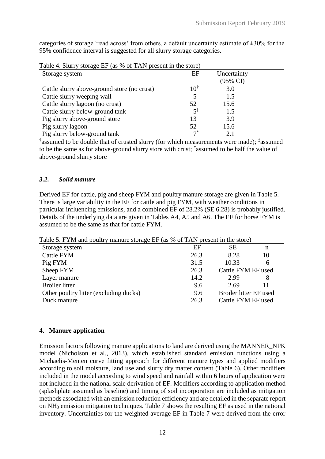categories of storage 'read across' from others, a default uncertainty estimate of  $\pm 30\%$  for the 95% confidence interval is suggested for all slurry storage categories.

| $1400$ $\sigma$ $\sim$ $1600$ $\sigma$ $\sim$ $1600$ $\sigma$ $\sim$ $111$ $\sigma$ $\sim$ $1000$ $\sigma$ $\sim$ $1000$ |                |             |  |
|--------------------------------------------------------------------------------------------------------------------------|----------------|-------------|--|
| Storage system                                                                                                           | EF             | Uncertainty |  |
|                                                                                                                          |                | (95% CI)    |  |
| Cattle slurry above-ground store (no crust)                                                                              | 101            | 3.0         |  |
| Cattle slurry weeping wall                                                                                               |                | 1.5         |  |
| Cattle slurry lagoon (no crust)                                                                                          | 52             | 15.6        |  |
| Cattle slurry below-ground tank                                                                                          | $5^{\ddagger}$ | 1.5         |  |
| Pig slurry above-ground store                                                                                            | 13             | 3.9         |  |
| Pig slurry lagoon                                                                                                        | 52             | 15.6        |  |
| Pig slurry below-ground tank                                                                                             | $7^*$          | 2.1         |  |

Table 4. Slurry storage EF (as % of TAN present in the store)

† assumed to be double that of crusted slurry (for which measurements were made); ‡ assumed to be the same as for above-ground slurry store with crust; \* assumed to be half the value of above-ground slurry store

## *3.2. Solid manure*

Derived EF for cattle, pig and sheep FYM and poultry manure storage are given in Table 5. There is large variability in the EF for cattle and pig FYM, with weather conditions in particular influencing emissions, and a combined EF of 28.2% (SE 6.28) is probably justified. Details of the underlying data are given in Tables A4, A5 and A6. The EF for horse FYM is assumed to be the same as that for cattle FYM.

Table 5. FYM and poultry manure storage EF (as % of TAN present in the store)

| Storage system                         | EF   | <b>SE</b>              | n  |
|----------------------------------------|------|------------------------|----|
| Cattle FYM                             | 26.3 | 8.28                   | 10 |
| Pig FYM                                | 31.5 | 10.33                  | 6  |
| Sheep FYM                              | 26.3 | Cattle FYM EF used     |    |
| Layer manure                           | 14.2 | 2.99                   | 8  |
| <b>Broiler</b> litter                  | 9.6  | 2.69                   |    |
| Other poultry litter (excluding ducks) | 9.6  | Broiler litter EF used |    |
| Duck manure                            | 26.3 | Cattle FYM EF used     |    |

# **4. Manure application**

Emission factors following manure applications to land are derived using the MANNER\_NPK model (Nicholson et al., 2013), which established standard emission functions using a Michaelis-Menten curve fitting approach for different manure types and applied modifiers according to soil moisture, land use and slurry dry matter content (Table 6). Other modifiers included in the model according to wind speed and rainfall within 6 hours of application were not included in the national scale derivation of EF. Modifiers according to application method (splashplate assumed as baseline) and timing of soil incorporation are included as mitigation methods associated with an emission reduction efficiency and are detailed in the separate report on NH<sup>3</sup> emission mitigation techniques. Table 7 shows the resulting EF as used in the national inventory. Uncertainties for the weighted average EF in Table 7 were derived from the error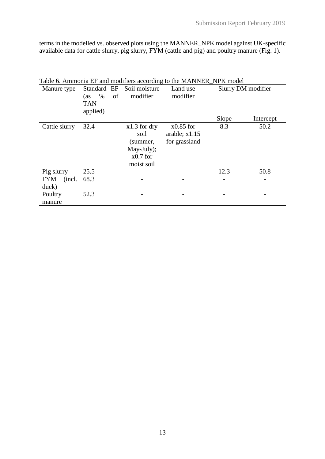terms in the modelled vs. observed plots using the MANNER\_NPK model against UK-specific available data for cattle slurry, pig slurry, FYM (cattle and pig) and poultry manure (Fig. 1).

|                |             | Table 6. Ammonia EF and modifiers according to the MANNER_NPK model |                 |       |                    |
|----------------|-------------|---------------------------------------------------------------------|-----------------|-------|--------------------|
| Manure type    | Standard EF | Soil moisture                                                       | Land use        |       | Slurry DM modifier |
|                | $\%$<br>(as | modifier<br>of                                                      | modifier        |       |                    |
|                | <b>TAN</b>  |                                                                     |                 |       |                    |
|                | applied)    |                                                                     |                 |       |                    |
|                |             |                                                                     |                 | Slope | Intercept          |
| Cattle slurry  | 32.4        | $x1.3$ for dry                                                      | $x0.85$ for     | 8.3   | 50.2               |
|                |             | soil                                                                | arable; $x1.15$ |       |                    |
|                |             | (summer,                                                            | for grassland   |       |                    |
|                |             | May-July);                                                          |                 |       |                    |
|                |             | $x0.7$ for                                                          |                 |       |                    |
|                |             | moist soil                                                          |                 |       |                    |
| Pig slurry     | 25.5        |                                                                     |                 | 12.3  | 50.8               |
| (incl.)<br>FYM | 68.3        |                                                                     |                 |       |                    |
| duck)          |             |                                                                     |                 |       |                    |
| Poultry        | 52.3        |                                                                     |                 |       |                    |
| manure         |             |                                                                     |                 |       |                    |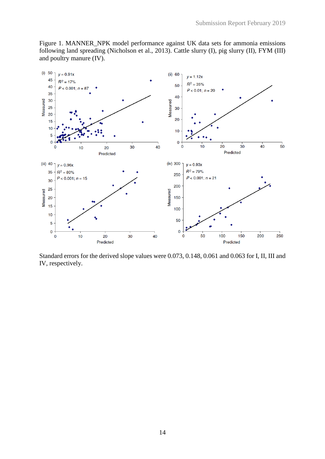Figure 1. MANNER\_NPK model performance against UK data sets for ammonia emissions following land spreading (Nicholson et al., 2013). Cattle slurry (I), pig slurry (II), FYM (III) and poultry manure (IV).



Standard errors for the derived slope values were 0.073, 0.148, 0.061 and 0.063 for I, II, III and IV, respectively.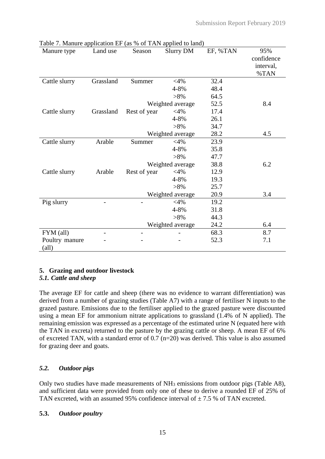| rable $\ell$ . Manure application EP (as $\%$ or TAIN applied to faile)<br>Manure type | Land use  | Season       | <b>Slurry DM</b> | EF, %TAN | 95%<br>confidence<br>interval, |
|----------------------------------------------------------------------------------------|-----------|--------------|------------------|----------|--------------------------------|
|                                                                                        |           |              |                  |          | %TAN                           |
| Cattle slurry                                                                          | Grassland | Summer       | $<$ 4%           | 32.4     |                                |
|                                                                                        |           |              | 4-8%             | 48.4     |                                |
|                                                                                        |           |              | $>8\%$           | 64.5     |                                |
|                                                                                        |           |              | Weighted average | 52.5     | 8.4                            |
| Cattle slurry                                                                          | Grassland | Rest of year | $<$ 4%           | 17.4     |                                |
|                                                                                        |           |              | 4-8%             | 26.1     |                                |
|                                                                                        |           |              | $>8\%$           | 34.7     |                                |
|                                                                                        |           |              | Weighted average | 28.2     | 4.5                            |
| Cattle slurry                                                                          | Arable    | Summer       | $<$ 4%           | 23.9     |                                |
|                                                                                        |           |              | 4-8%             | 35.8     |                                |
|                                                                                        |           |              | $>8\%$           | 47.7     |                                |
|                                                                                        |           |              | Weighted average | 38.8     | 6.2                            |
| Cattle slurry                                                                          | Arable    | Rest of year | $<$ 4%           | 12.9     |                                |
|                                                                                        |           |              | 4-8%             | 19.3     |                                |
|                                                                                        |           |              | $>8\%$           | 25.7     |                                |
|                                                                                        |           |              | Weighted average | 20.9     | 3.4                            |
| Pig slurry                                                                             |           |              | $<$ 4%           | 19.2     |                                |
|                                                                                        |           |              | 4-8%             | 31.8     |                                |
|                                                                                        |           |              | $>8\%$           | 44.3     |                                |
|                                                                                        |           |              | Weighted average | 24.2     | 6.4                            |
| FYM (all)                                                                              |           |              |                  | 68.3     | 8.7                            |
| Poultry manure                                                                         |           |              |                  | 52.3     | 7.1                            |
| $\text{(all)}$                                                                         |           |              |                  |          |                                |

|  |  | Table 7. Manure application EF (as % of TAN applied to land) |
|--|--|--------------------------------------------------------------|
|  |  |                                                              |

# **5. Grazing and outdoor livestock**

# *5.1. Cattle and sheep*

The average EF for cattle and sheep (there was no evidence to warrant differentiation) was derived from a number of grazing studies (Table A7) with a range of fertiliser N inputs to the grazed pasture. Emissions due to the fertiliser applied to the grazed pasture were discounted using a mean EF for ammonium nitrate applications to grassland (1.4% of N applied). The remaining emission was expressed as a percentage of the estimated urine N (equated here with the TAN in excreta) returned to the pasture by the grazing cattle or sheep. A mean EF of 6% of excreted TAN, with a standard error of 0.7 (n=20) was derived. This value is also assumed for grazing deer and goats.

# *5.2. Outdoor pigs*

Only two studies have made measurements of NH<sup>3</sup> emissions from outdoor pigs (Table A8), and sufficient data were provided from only one of these to derive a rounded EF of 25% of TAN excreted, with an assumed 95% confidence interval of  $\pm$  7.5 % of TAN excreted.

# **5.3.** *Outdoor poultry*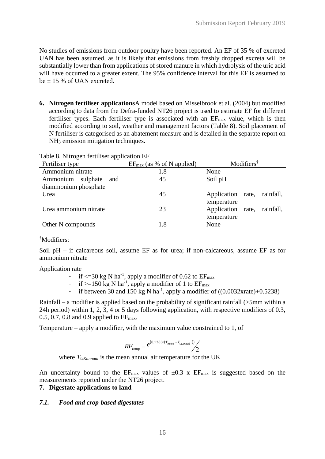No studies of emissions from outdoor poultry have been reported. An EF of 35 % of excreted UAN has been assumed, as it is likely that emissions from freshly dropped excreta will be substantially lower than from applications of stored manure in which hydrolysis of the uric acid will have occurred to a greater extent. The 95% confidence interval for this EF is assumed to be  $\pm$  15 % of UAN excreted.

**6. Nitrogen fertiliser applications**A model based on Misselbrook et al. (2004) but modified according to data from the Defra-funded NT26 project is used to estimate EF for different fertiliser types. Each fertiliser type is associated with an  $EF_{\text{max}}$  value, which is then modified according to soil, weather and management factors (Table 8). Soil placement of N fertiliser is categorised as an abatement measure and is detailed in the separate report on NH<sub>3</sub> emission mitigation techniques.

| $1.0015$ of $1.001$ $M_{\odot}$ $\sim$ $1.001$ $M_{\odot}$<br>Fertiliser type | $EF_{\text{max}}$ (as % of N applied) | Modifiers <sup>†</sup>      |
|-------------------------------------------------------------------------------|---------------------------------------|-----------------------------|
| Ammonium nitrate                                                              | 1.8                                   | None                        |
| sulphate<br>Ammonium<br>and                                                   | 45                                    | Soil pH                     |
| diammonium phosphate                                                          |                                       |                             |
| Urea                                                                          | 45                                    | Application rate, rainfall, |
|                                                                               |                                       | temperature                 |
| Urea ammonium nitrate                                                         | 23                                    | Application rate, rainfall, |
|                                                                               |                                       | temperature                 |
| Other N compounds                                                             | 1.8                                   | None                        |

#### †Modifiers:

Soil pH – if calcareous soil, assume EF as for urea; if non-calcareous, assume EF as for ammonium nitrate

Application rate

- if  $\leq$ =30 kg N ha<sup>-1</sup>, apply a modifier of 0.62 to EF<sub>max</sub>
- if  $>=150$  kg N ha<sup>-1</sup>, apply a modifier of 1 to  $EF_{\text{max}}$
- if between 30 and 150 kg N ha<sup>-1</sup>, apply a modifier of  $((0.0032 \text{xrate})+0.5238)$

Rainfall – a modifier is applied based on the probability of significant rainfall (>5mm within a 24h period) within 1, 2, 3, 4 or 5 days following application, with respective modifiers of 0.3, 0.5, 0.7, 0.8 and 0.9 applied to  $EF_{\text{max}}$ .

Temperature – apply a modifier, with the maximum value constrained to 1, of

$$
RF_{temp} = e^{(0.1386 \times (T_{month} - T_{UKannual})))}
$$

where *TUKannual* is the mean annual air temperature for the UK

An uncertainty bound to the  $EF_{max}$  values of  $\pm 0.3$  x  $EF_{max}$  is suggested based on the measurements reported under the NT26 project.

#### **7. Digestate applications to land**

#### *7.1. Food and crop-based digestates*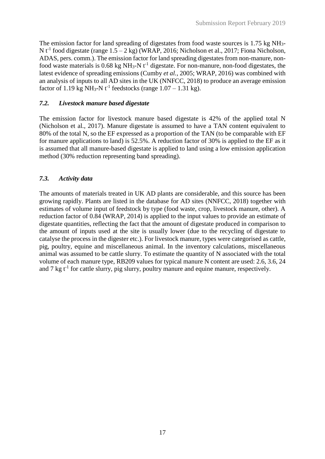The emission factor for land spreading of digestates from food waste sources is 1.75 kg NH3- N  $t^{-1}$  food digestate (range  $1.5 - 2$  kg) (WRAP, 2016; Nicholson et al., 2017; Fiona Nicholson, ADAS, pers. comm.). The emission factor for land spreading digestates from non-manure, nonfood waste materials is  $0.68$  kg NH<sub>3</sub>-N  $t^{-1}$  digestate. For non-manure, non-food digestates, the latest evidence of spreading emissions (Cumby *et al.*, 2005; WRAP, 2016) was combined with an analysis of inputs to all AD sites in the UK (NNFCC, 2018) to produce an average emission factor of 1.19 kg NH<sub>3</sub>-N t<sup>-1</sup> feedstocks (range  $1.07 - 1.31$  kg).

# *7.2. Livestock manure based digestate*

The emission factor for livestock manure based digestate is 42% of the applied total N (Nicholson et al., 2017). Manure digestate is assumed to have a TAN content equivalent to 80% of the total N, so the EF expressed as a proportion of the TAN (to be comparable with EF for manure applications to land) is 52.5%. A reduction factor of 30% is applied to the EF as it is assumed that all manure-based digestate is applied to land using a low emission application method (30% reduction representing band spreading).

# *7.3. Activity data*

The amounts of materials treated in UK AD plants are considerable, and this source has been growing rapidly. Plants are listed in the database for AD sites (NNFCC, 2018) together with estimates of volume input of feedstock by type (food waste, crop, livestock manure, other). A reduction factor of 0.84 (WRAP, 2014) is applied to the input values to provide an estimate of digestate quantities, reflecting the fact that the amount of digestate produced in comparison to the amount of inputs used at the site is usually lower (due to the recycling of digestate to catalyse the process in the digester etc.). For livestock manure, types were categorised as cattle, pig, poultry, equine and miscellaneous animal. In the inventory calculations, miscellaneous animal was assumed to be cattle slurry. To estimate the quantity of N associated with the total volume of each manure type, RB209 values for typical manure N content are used: 2.6, 3.6, 24 and 7 kg  $t^{-1}$  for cattle slurry, pig slurry, poultry manure and equine manure, respectively.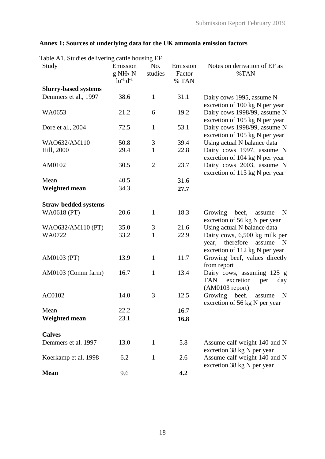| Table A1. Studies delivering cattle housing EF<br>Study | Emission                      | No.            | Emission        | Notes on derivation of EF as                                                                                   |
|---------------------------------------------------------|-------------------------------|----------------|-----------------|----------------------------------------------------------------------------------------------------------------|
|                                                         | $g NH3-N$<br>$lu^{-1} d^{-1}$ | studies        | Factor<br>% TAN | %TAN                                                                                                           |
| <b>Slurry-based systems</b>                             |                               |                |                 |                                                                                                                |
| Demmers et al., 1997                                    | 38.6                          | $\mathbf{1}$   | 31.1            | Dairy cows 1995, assume N<br>excretion of 100 kg N per year                                                    |
| WA0653                                                  | 21.2                          | 6              | 19.2            | Dairy cows 1998/99, assume N<br>excretion of 105 kg N per year                                                 |
| Dore et al., 2004                                       | 72.5                          | $\mathbf{1}$   | 53.1            | Dairy cows 1998/99, assume N<br>excretion of 105 kg N per year                                                 |
| WAO632/AM110                                            | 50.8                          | 3              | 39.4            | Using actual N balance data                                                                                    |
| Hill, 2000                                              | 29.4                          | $\mathbf{1}$   | 22.8            | Dairy cows 1997, assume N<br>excretion of 104 kg N per year                                                    |
| AM0102                                                  | 30.5                          | $\overline{2}$ | 23.7            | Dairy cows 2003, assume N<br>excretion of 113 kg N per year                                                    |
| Mean                                                    | 40.5                          |                | 31.6            |                                                                                                                |
| <b>Weighted mean</b>                                    | 34.3                          |                | 27.7            |                                                                                                                |
| <b>Straw-bedded systems</b>                             |                               |                |                 |                                                                                                                |
| WA0618 (PT)                                             | 20.6                          | $\mathbf{1}$   | 18.3            | beef,<br>Growing<br>N<br>assume<br>excretion of 56 kg N per year                                               |
| WAO632/AM110 (PT)                                       | 35.0                          | 3              | 21.6            | Using actual N balance data                                                                                    |
| WA0722                                                  | 33.2                          | $\mathbf{1}$   | 22.9            | Dairy cows, 6,500 kg milk per<br>therefore<br>assume<br>$\mathbf N$<br>year,<br>excretion of 112 kg N per year |
| AM0103 (PT)                                             | 13.9                          | $\mathbf{1}$   | 11.7            | Growing beef, values directly<br>from report                                                                   |
| AM0103 (Comm farm)                                      | 16.7                          | $\mathbf{1}$   | 13.4            | Dairy cows, assuming 125 g<br>excretion<br><b>TAN</b><br>per<br>day<br>$(AM0103$ report)                       |
| AC0102                                                  | 14.0                          | 3              | 12.5            | Growing<br>beef,<br>N<br>assume<br>excretion of 56 kg N per year                                               |
| Mean                                                    | 22.2                          |                | 16.7            |                                                                                                                |
| <b>Weighted mean</b>                                    | 23.1                          |                | 16.8            |                                                                                                                |
| <b>Calves</b>                                           |                               |                |                 |                                                                                                                |
| Demmers et al. 1997                                     | 13.0                          | $\mathbf{1}$   | 5.8             | Assume calf weight 140 and N<br>excretion 38 kg N per year                                                     |
| Koerkamp et al. 1998                                    | 6.2                           | $\mathbf{1}$   | 2.6             | Assume calf weight 140 and N<br>excretion 38 kg N per year                                                     |
| <b>Mean</b>                                             | 9.6                           |                | 4.2             |                                                                                                                |

# **Annex 1: Sources of underlying data for the UK ammonia emission factors**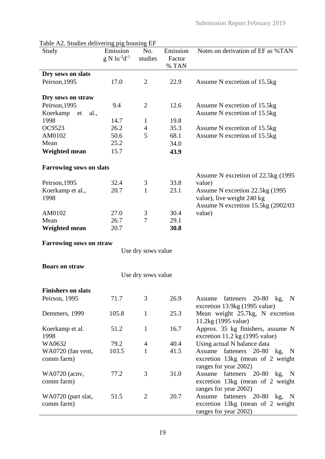| Study                          | Emission              | No.                | Emission | Notes on derivation of EF as %TAN            |
|--------------------------------|-----------------------|--------------------|----------|----------------------------------------------|
|                                | $g N l u^{-1} d^{-1}$ | studies            | Factor   |                                              |
|                                |                       |                    | % TAN    |                                              |
| Dry sows on slats              |                       |                    |          |                                              |
|                                |                       |                    |          |                                              |
| Peirson, 1995                  | 17.0                  | $\overline{2}$     | 22.9     | Assume N excretion of 15.5kg                 |
|                                |                       |                    |          |                                              |
| Dry sows on straw              |                       |                    |          |                                              |
| Peirson, 1995                  | 9.4                   | $\overline{2}$     | 12.6     | Assume N excretion of 15.5kg                 |
| Koerkamp et<br>al.,            |                       |                    |          | Assume N excretion of 15.5kg                 |
| 1998                           | 14.7                  | $\mathbf{1}$       | 19.8     |                                              |
| OC9523                         | 26.2                  | $\overline{4}$     | 35.3     | Assume N excretion of 15.5kg                 |
| AM0102                         | 50.6                  | 5                  | 68.1     | Assume N excretion of 15.5kg                 |
| Mean                           | 25.2                  |                    | 34.0     |                                              |
| <b>Weighted mean</b>           | 15.7                  |                    | 43.9     |                                              |
|                                |                       |                    |          |                                              |
| <b>Farrowing sows on slats</b> |                       |                    |          |                                              |
|                                |                       |                    |          | Assume N excretion of 22.5kg (1995)          |
| Peirson, 1995                  | 32.4                  | 3                  | 33.8     | value)                                       |
| Koerkamp et al.,               | 20.7                  | $\mathbf{1}$       | 23.1     | Assume N excretion 22.5kg (1995)             |
| 1998                           |                       |                    |          | value), live weight 240 kg                   |
|                                |                       |                    |          | Assume N excretion 15.5kg (2002/03)          |
| AM0102                         | 27.0                  | 3                  | 30.4     | value)                                       |
| Mean                           | 26.7                  | 7                  | 29.1     |                                              |
| <b>Weighted mean</b>           | 20.7                  |                    | 30.8     |                                              |
|                                |                       |                    |          |                                              |
| <b>Farrowing sows on straw</b> |                       |                    |          |                                              |
|                                |                       | Use dry sows value |          |                                              |
|                                |                       |                    |          |                                              |
| <b>Boars on straw</b>          |                       |                    |          |                                              |
|                                |                       | Use dry sows value |          |                                              |
|                                |                       |                    |          |                                              |
| <b>Finishers on slats</b>      |                       |                    |          |                                              |
| Peirson, 1995                  | 71.7                  | 3                  | 26.9     | fatteners 20-80 kg,<br>$\mathbf N$<br>Assume |
|                                |                       |                    |          | excretion 13.9kg (1995 value)                |
| Demmers, 1999                  | 105.8                 | $\mathbf{1}$       | 25.3     | Mean weight 25.7kg, N excretion              |
|                                |                       |                    |          | 11.2kg (1995 value)                          |
| Koerkamp et al.                | 51.2                  | $\mathbf{1}$       | 16.7     | Approx. 35 kg finishers, assume N            |
| 1998                           |                       |                    |          | excretion 11.2 kg (1995 value)               |
| WA0632                         | 79.2                  | $\overline{4}$     | 40.4     |                                              |
|                                | 103.5                 | $\mathbf{1}$       | 41.5     | Using actual N balance data                  |
| WA0720 (fan vent,              |                       |                    |          | Assume fatteners 20-80 kg,<br>N              |
| comm farm)                     |                       |                    |          | excretion 13kg (mean of 2 weight             |
|                                |                       |                    |          | ranges for year 2002)                        |
| WA0720 (acnv,                  | 77.2                  | 3                  | 31.0     | Assume fatteners 20-80 kg, N                 |
| comm farm)                     |                       |                    |          | excretion 13kg (mean of 2 weight             |
|                                |                       |                    |          | ranges for year 2002)                        |
| WA0720 (part slat,             | 51.5                  | $\overline{2}$     | 20.7     | Assume<br>fatteners<br>20-80 kg, N           |
| comm farm)                     |                       |                    |          | excretion 13kg (mean of 2 weight             |
|                                |                       |                    |          | ranges for year 2002)                        |

Table A2. Studies delivering pig housing EF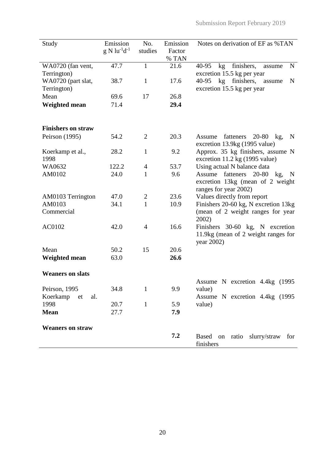| Study                     | Emission<br>$g N lu^{-1}d^{-1}$ | No.<br>studies | Emission<br>Factor<br>% TAN | Notes on derivation of EF as %TAN                                                               |
|---------------------------|---------------------------------|----------------|-----------------------------|-------------------------------------------------------------------------------------------------|
| WA0720 (fan vent,         | 47.7                            | 1              | 21.6                        | finishers,<br>40-95<br>kg<br>N<br>assume                                                        |
| Terrington)               |                                 |                |                             | excretion 15.5 kg per year                                                                      |
| WA0720 (part slat,        | 38.7                            | $\mathbf{1}$   | 17.6                        | 40-95 kg finishers,<br>assume<br>N                                                              |
| Terrington)               |                                 |                |                             | excretion 15.5 kg per year                                                                      |
| Mean                      | 69.6                            | 17             | 26.8                        |                                                                                                 |
| <b>Weighted mean</b>      | 71.4                            |                | 29.4                        |                                                                                                 |
| <b>Finishers on straw</b> |                                 |                |                             |                                                                                                 |
| Peirson (1995)            | 54.2                            | $\overline{2}$ | 20.3                        | Assume fatteners 20-80 kg,<br>$\mathbf N$<br>excretion 13.9kg (1995 value)                      |
| Koerkamp et al.,<br>1998  | 28.2                            | $\mathbf{1}$   | 9.2                         | Approx. 35 kg finishers, assume N<br>excretion 11.2 kg (1995 value)                             |
| WA0632                    | 122.2                           | $\overline{4}$ | 53.7                        | Using actual N balance data                                                                     |
| AM0102                    | 24.0                            | $\mathbf{1}$   | 9.6                         | fatteners<br>20-80 kg, N<br>Assume<br>excretion 13kg (mean of 2 weight<br>ranges for year 2002) |
| AM0103 Terrington         | 47.0                            | $\overline{c}$ | 23.6                        | Values directly from report                                                                     |
| AM0103                    | 34.1                            | $\mathbf{1}$   | 10.9                        | Finishers 20-60 kg, N excretion 13kg                                                            |
| Commercial                |                                 |                |                             | (mean of 2 weight ranges for year<br>2002)                                                      |
| AC0102                    | 42.0                            | $\overline{4}$ | 16.6                        | Finishers 30-60 kg, N excretion<br>11.9kg (mean of 2 weight ranges for<br>year 2002)            |
| Mean                      | 50.2                            | 15             | 20.6                        |                                                                                                 |
| <b>Weighted mean</b>      | 63.0                            |                | 26.6                        |                                                                                                 |
| <b>Weaners on slats</b>   |                                 |                |                             |                                                                                                 |
| Peirson, 1995             | 34.8                            | $\mathbf{1}$   | 9.9                         | Assume N excretion 4.4kg (1995<br>value)                                                        |
| Koerkamp<br>al.<br>et     |                                 |                |                             | Assume N excretion 4.4kg (1995)                                                                 |
| 1998                      | 20.7                            | $\mathbf{1}$   | 5.9                         | value)                                                                                          |
| <b>Mean</b>               | 27.7                            |                | 7.9                         |                                                                                                 |
|                           |                                 |                |                             |                                                                                                 |
| <b>Weaners on straw</b>   |                                 |                |                             |                                                                                                 |
|                           |                                 |                | 7.2                         | Based on ratio slurry/straw<br>for<br>finishers                                                 |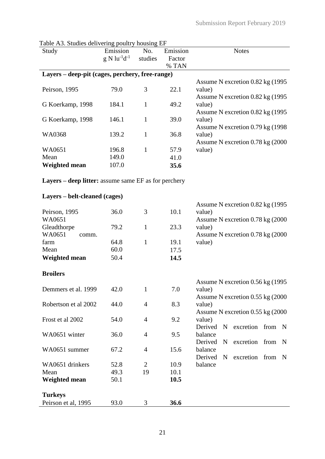| Table As. Studies delivering poultry housing EF<br>Study | Emission<br>$g N l u^{-1} d^{-1}$ | No.<br>studies | Emission<br>Factor<br>% TAN | <b>Notes</b>                                     |
|----------------------------------------------------------|-----------------------------------|----------------|-----------------------------|--------------------------------------------------|
| Layers – deep-pit (cages, perchery, free-range)          |                                   |                |                             |                                                  |
|                                                          |                                   |                |                             | Assume N excretion 0.82 kg (1995)                |
| Peirson, 1995                                            | 79.0                              | 3              | 22.1                        | value)                                           |
| G Koerkamp, 1998                                         | 184.1                             | $\mathbf{1}$   | 49.2                        | Assume N excretion 0.82 kg (1995)<br>value)      |
|                                                          |                                   |                |                             | Assume N excretion 0.82 kg (1995)                |
| G Koerkamp, 1998                                         | 146.1                             | $\mathbf{1}$   | 39.0                        | value)                                           |
|                                                          |                                   |                |                             | Assume N excretion 0.79 kg (1998)                |
| <b>WA0368</b>                                            | 139.2                             | $\mathbf{1}$   | 36.8                        | value)                                           |
|                                                          |                                   |                |                             | Assume N excretion 0.78 kg (2000)                |
| WA0651                                                   | 196.8                             | $\mathbf{1}$   | 57.9                        | value)                                           |
| Mean                                                     | 149.0                             |                | 41.0                        |                                                  |
| <b>Weighted mean</b>                                     | 107.0                             |                | 35.6                        |                                                  |
| Layers – deep litter: assume same EF as for perchery     |                                   |                |                             |                                                  |
| Layers – belt-cleaned (cages)                            |                                   |                |                             |                                                  |
| Peirson, 1995                                            | 36.0                              | 3              | 10.1                        | Assume N excretion 0.82 kg (1995)<br>value)      |
| WA0651                                                   |                                   |                |                             | Assume N excretion 0.78 kg (2000)                |
| Gleadthorpe                                              | 79.2                              | $\mathbf{1}$   | 23.3                        | value)                                           |
| WA0651<br>comm.                                          |                                   |                |                             | Assume N excretion 0.78 kg (2000)                |
| farm                                                     | 64.8                              | $\mathbf{1}$   | 19.1                        | value)                                           |
| Mean                                                     | 60.0                              |                | 17.5                        |                                                  |
| <b>Weighted mean</b>                                     | 50.4                              |                | 14.5                        |                                                  |
| <b>Broilers</b>                                          |                                   |                |                             |                                                  |
|                                                          |                                   |                |                             | Assume N excretion 0.56 kg (1995)                |
| Demmers et al. 1999                                      | 42.0                              | $\mathbf 1$    | 7.0                         | value)                                           |
|                                                          |                                   |                |                             | Assume N excretion 0.55 kg (2000)                |
| Robertson et al 2002                                     | 44.0                              | $\overline{4}$ | 8.3                         | value)                                           |
| Frost et al 2002                                         | 54.0                              | $\overline{4}$ | 9.2                         | Assume N excretion 0.55 kg (2000)<br>value)      |
|                                                          |                                   |                |                             | Derived<br>excretion from N<br>$\mathbf N$       |
| WA0651 winter                                            | 36.0                              | $\overline{4}$ | 9.5                         | balance                                          |
|                                                          |                                   |                |                             | excretion<br>Derived<br>from<br>N<br>$\mathbf N$ |
| WA0651 summer                                            | 67.2                              | 4              | 15.6                        | balance                                          |
|                                                          |                                   |                |                             | excretion from N<br>Derived<br>$\mathbf N$       |
| WA0651 drinkers                                          | 52.8                              | $\overline{2}$ | 10.9                        | balance                                          |
| Mean                                                     | 49.3                              | 19             | 10.1                        |                                                  |
| <b>Weighted mean</b>                                     | 50.1                              |                | 10.5                        |                                                  |
| <b>Turkeys</b>                                           |                                   |                |                             |                                                  |
| Peirson et al, 1995                                      | 93.0                              | 3              | 36.6                        |                                                  |

Table A3. Studies delivering poultry housing EF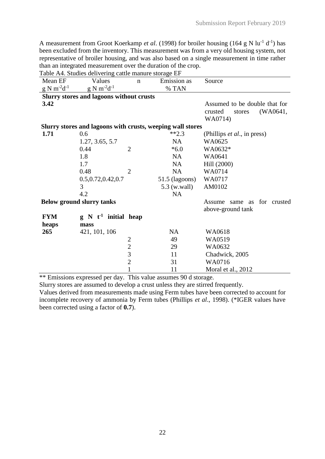A measurement from Groot Koerkamp *et al.* (1998) for broiler housing (164 g N lu<sup>-1</sup> d<sup>-1</sup>) has been excluded from the inventory. This measurement was from a very old housing system, not representative of broiler housing, and was also based on a single measurement in time rather than an integrated measurement over the duration of the crop.

Table A4. Studies delivering cattle manure storage EF

| Mean EF             | Values                                                     | $\mathbf n$    | Emission as      | Source                              |
|---------------------|------------------------------------------------------------|----------------|------------------|-------------------------------------|
| $g N m^{-2} d^{-1}$ | $g N m^{-2} d^{-1}$                                        |                | % TAN            |                                     |
|                     | <b>Slurry stores and lagoons without crusts</b>            |                |                  |                                     |
| 3.42                |                                                            |                |                  | Assumed to be double that for       |
|                     |                                                            |                |                  | (WA0641,<br>crusted<br>stores       |
|                     |                                                            |                |                  | WA0714)                             |
|                     | Slurry stores and lagoons with crusts, weeping wall stores |                |                  |                                     |
| 1.71                | 0.6                                                        |                | $**2.3$          | (Phillips <i>et al.</i> , in press) |
|                     | 1.27, 3.65, 5.7                                            |                | <b>NA</b>        | WA0625                              |
|                     | 0.44                                                       | $\overline{2}$ | $*6.0$           | WA0632*                             |
|                     | 1.8                                                        |                | NA               | WA0641                              |
|                     | 1.7                                                        |                | <b>NA</b>        | Hill (2000)                         |
|                     | 0.48                                                       | $\overline{2}$ | <b>NA</b>        | WA0714                              |
|                     | 0.5, 0.72, 0.42, 0.7                                       |                | $51.5$ (lagoons) | WA0717                              |
|                     | 3                                                          |                | 5.3 (w.wall)     | AM0102                              |
|                     | 4.2                                                        |                | <b>NA</b>        |                                     |
|                     | <b>Below ground slurry tanks</b>                           |                |                  | Assume same as for crusted          |
|                     |                                                            |                |                  | above-ground tank                   |
| <b>FYM</b>          | $g \, N \, t^{-1}$ initial heap                            |                |                  |                                     |
| heaps               | mass                                                       |                |                  |                                     |
| 265                 | 421, 101, 106                                              |                | <b>NA</b>        | WA0618                              |
|                     |                                                            |                | 49               | WA0519                              |
|                     |                                                            | $\frac{2}{3}$  | 29               | WA0632                              |
|                     |                                                            |                | 11               | Chadwick, 2005                      |
|                     |                                                            | $\overline{2}$ | 31               | WA0716                              |
|                     |                                                            | $\mathbf{1}$   | 11               | Moral et al., 2012                  |

\*\* Emissions expressed per day. This value assumes 90 d storage.

Slurry stores are assumed to develop a crust unless they are stirred frequently.

Values derived from measurements made using Ferm tubes have been corrected to account for incomplete recovery of ammonia by Ferm tubes (Phillips *et al*., 1998). (\*IGER values have been corrected using a factor of **0.7**).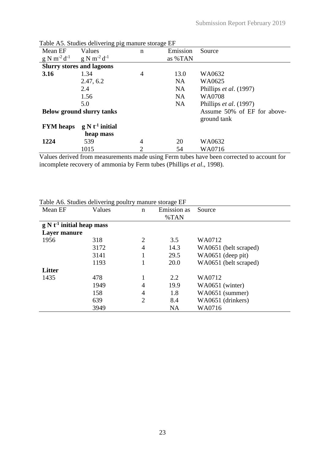|                                  | Table A.S. Studies delivering pig manure storage EF |                |           |                             |
|----------------------------------|-----------------------------------------------------|----------------|-----------|-----------------------------|
| Mean EF                          | Values                                              | $\mathbf n$    | Emission  | Source                      |
| $g N m^{-2} d^{-1}$              | $g \text{ N m}^{-2} d^{-1}$                         |                | as %TAN   |                             |
|                                  | <b>Slurry stores and lagoons</b>                    |                |           |                             |
| 3.16                             | 1.34                                                | $\overline{4}$ | 13.0      | WA0632                      |
|                                  | 2.47, 6.2                                           |                | <b>NA</b> | WA0625                      |
|                                  | 2.4                                                 |                | <b>NA</b> | Phillips et al. (1997)      |
|                                  | 1.56                                                |                | <b>NA</b> | WA0708                      |
|                                  | 5.0                                                 |                | <b>NA</b> | Phillips et al. (1997)      |
| <b>Below ground slurry tanks</b> |                                                     |                |           | Assume 50% of EF for above- |
|                                  |                                                     |                |           | ground tank                 |
| <b>FYM</b> heaps                 | $g N t-1$ initial                                   |                |           |                             |
|                                  | heap mass                                           |                |           |                             |
| 1224                             | 539                                                 | $\overline{4}$ | 20        | WA0632                      |
|                                  | 1015                                                | $\overline{2}$ | 54        | WA0716                      |

Table A5. Studies delivering pig manure storage EF

Values derived from measurements made using Ferm tubes have been corrected to account for incomplete recovery of ammonia by Ferm tubes (Phillips *et al*., 1998).

| Table A6. Studies delivering poultry manure storage EF |
|--------------------------------------------------------|
|--------------------------------------------------------|

| Mean EF                           | Values | n              | Emission as | Source                |
|-----------------------------------|--------|----------------|-------------|-----------------------|
|                                   |        |                | %TAN        |                       |
| $g \, N t^{-1}$ initial heap mass |        |                |             |                       |
| Layer manure                      |        |                |             |                       |
| 1956                              | 318    | $\overline{2}$ | 3.5         | WA0712                |
|                                   | 3172   | $\overline{4}$ | 14.3        | WA0651 (belt scraped) |
|                                   | 3141   |                | 29.5        | WA0651 (deep pit)     |
|                                   | 1193   |                | 20.0        | WA0651 (belt scraped) |
| <b>Litter</b>                     |        |                |             |                       |
| 1435                              | 478    |                | 2.2         | WA0712                |
|                                   | 1949   | 4              | 19.9        | WA0651 (winter)       |
|                                   | 158    | $\overline{4}$ | 1.8         | WA0651 (summer)       |
|                                   | 639    | $\overline{2}$ | 8.4         | WA0651 (drinkers)     |
|                                   | 3949   |                | <b>NA</b>   | WA0716                |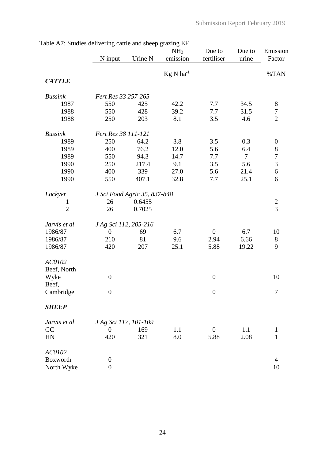| $\frac{1}{2}$  |                       | came and sheep stamms Li     | NH <sub>3</sub> | Due to           | Due to         | Emission         |
|----------------|-----------------------|------------------------------|-----------------|------------------|----------------|------------------|
|                | N input               | Urine N                      | emission        | fertiliser       | urine          | Factor           |
|                |                       |                              |                 |                  |                |                  |
|                |                       |                              | $Kg N ha^{-1}$  |                  |                | %TAN             |
| <b>CATTLE</b>  |                       |                              |                 |                  |                |                  |
| <b>Bussink</b> | Fert Res 33 257-265   |                              |                 |                  |                |                  |
| 1987           | 550                   | 425                          | 42.2            | 7.7              | 34.5           | $8\,$            |
| 1988           | 550                   | 428                          | 39.2            | 7.7              | 31.5           | $\boldsymbol{7}$ |
| 1988           | 250                   | 203                          | 8.1             | 3.5              | 4.6            | $\overline{2}$   |
|                |                       |                              |                 |                  |                |                  |
| <b>Bussink</b> | Fert Res 38 111-121   |                              |                 |                  |                |                  |
| 1989           | 250                   | 64.2                         | 3.8             | 3.5              | 0.3            | $\boldsymbol{0}$ |
| 1989           | 400                   | 76.2                         | 12.0            | 5.6              | 6.4            | $\,8$            |
| 1989           | 550                   | 94.3                         | 14.7            | 7.7              | $\overline{7}$ | $\boldsymbol{7}$ |
| 1990           | 250                   | 217.4                        | 9.1             | 3.5              | 5.6            | 3                |
| 1990           | 400                   | 339                          | 27.0            | 5.6              | 21.4           | $\sqrt{6}$       |
| 1990           | 550                   | 407.1                        | 32.8            | 7.7              | 25.1           | 6                |
|                |                       |                              |                 |                  |                |                  |
| Lockyer        |                       | J Sci Food Agric 35, 837-848 |                 |                  |                |                  |
| $\mathbf{1}$   | 26                    | 0.6455                       |                 |                  |                | $\frac{2}{3}$    |
| $\overline{2}$ | 26                    | 0.7025                       |                 |                  |                |                  |
| Jarvis et al   | J Ag Sci 112, 205-216 |                              |                 |                  |                |                  |
| 1986/87        | $\boldsymbol{0}$      | 69                           | 6.7             | $\overline{0}$   | 6.7            | 10               |
| 1986/87        | 210                   | 81                           | 9.6             | 2.94             | 6.66           | $8\,$            |
| 1986/87        | 420                   | 207                          | 25.1            | 5.88             | 19.22          | 9                |
|                |                       |                              |                 |                  |                |                  |
| AC0102         |                       |                              |                 |                  |                |                  |
| Beef, North    |                       |                              |                 |                  |                |                  |
| Wyke           | $\boldsymbol{0}$      |                              |                 | $\boldsymbol{0}$ |                | 10               |
| Beef,          |                       |                              |                 |                  |                |                  |
| Cambridge      | $\boldsymbol{0}$      |                              |                 | $\boldsymbol{0}$ |                | 7                |
|                |                       |                              |                 |                  |                |                  |
| <b>SHEEP</b>   |                       |                              |                 |                  |                |                  |
| Jarvis et al   | J Ag Sci 117, 101-109 |                              |                 |                  |                |                  |
| GC             | $\boldsymbol{0}$      | 169                          | 1.1             | $\boldsymbol{0}$ | 1.1            | $\mathbf{1}$     |
| HN             | 420                   | 321                          | 8.0             | 5.88             | 2.08           | $\mathbf{1}$     |
|                |                       |                              |                 |                  |                |                  |
| AC0102         |                       |                              |                 |                  |                |                  |
| Boxworth       | $\boldsymbol{0}$      |                              |                 |                  |                | $\overline{4}$   |
| North Wyke     | $\boldsymbol{0}$      |                              |                 |                  |                | 10               |

|  | Table A7: Studies delivering cattle and sheep grazing EF |  |  |  |
|--|----------------------------------------------------------|--|--|--|
|  |                                                          |  |  |  |
|  |                                                          |  |  |  |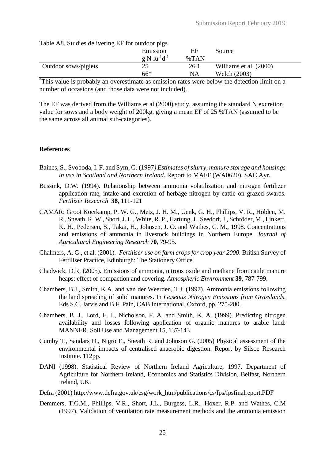| Table A8. Studies delivering EF for outdoor pigs |         |                        |  |  |  |  |
|--------------------------------------------------|---------|------------------------|--|--|--|--|
| Emission                                         | ΕF      | Source                 |  |  |  |  |
| $g \mathrm{N}$ lu <sup>-1</sup> d <sup>-1</sup>  | $\%TAN$ |                        |  |  |  |  |
| 25                                               | 26.1    | Williams et al. (2000) |  |  |  |  |
| $66*$                                            | NA      | Welch (2003)           |  |  |  |  |
|                                                  |         |                        |  |  |  |  |

# $T$  11. A8.  $\alpha$ ,  $\beta$  for  $\beta$

\*This value is probably an overestimate as emission rates were below the detection limit on a number of occasions (and those data were not included).

The EF was derived from the Williams et al (2000) study, assuming the standard N excretion value for sows and a body weight of 200kg, giving a mean EF of 25 %TAN (assumed to be the same across all animal sub-categories).

#### **References**

- Baines, S., Svoboda, I. F. and Sym, G. (1997*) Estimates of slurry, manure storage and housings in use in Scotland and Northern Ireland*. Report to MAFF (WA0620), SAC Ayr.
- Bussink, D.W. (1994). Relationship between ammonia volatilization and nitrogen fertilizer application rate, intake and excretion of herbage nitrogen by cattle on grazed swards. *Fertilizer Research* **38**, 111-121
- CAMAR: Groot Koerkamp, P. W. G., Metz, J. H. M., Uenk, G. H., Phillips, V. R., Holden, M. R., Sneath, R. W., Short, J. L., White, R. P., Hartung, J., Seedorf, J., Schröder, M., Linkert, K. H., Pedersen, S., Takai, H., Johnsen, J. O. and Wathes, C. M., 1998. Concentrations and emissions of ammonia in livestock buildings in Northern Europe. *Journal of Agricultural Engineering Research* **70**, 79-95.
- Chalmers, A. G., et al. (2001)*. Fertiliser use on farm crops for crop year 2000*. British Survey of Fertiliser Practice, Edinburgh: The Stationery Office.
- Chadwick, D.R. (2005). Emissions of ammonia, nitrous oxide and methane from cattle manure heaps: effect of compaction and covering. *Atmospheric Environment* **39**, 787-799.
- Chambers, B.J., Smith, K.A. and van der Weerden, T.J. (1997). Ammonia emissions following the land spreading of solid manures. In *Gaseous Nitrogen Emissions from Grasslands*. Eds S.C. Jarvis and B.F. Pain, CAB International, Oxford, pp. 275-280.
- Chambers, B. J., Lord, E. I., Nicholson, F. A. and Smith, K. A. (1999). Predicting nitrogen availability and losses following application of organic manures to arable land: MANNER. Soil Use and Management 15, 137-143.
- Cumby T., Sandars D., Nigro E., Sneath R. and Johnson G. (2005) Physical assessment of the environmental impacts of centralised anaerobic digestion. Report by Silsoe Research Institute. 112pp.
- DANI (1998). Statistical Review of Northern Ireland Agriculture, 1997. Department of Agriculture for Northern Ireland, Economics and Statistics Division, Belfast, Northern Ireland, UK.
- Defra (2001) http://www.defra.gov.uk/esg/work\_htm/publications/cs/fps/fpsfinalreport.PDF
- Demmers, T.G.M., Phillips, V.R., Short, J.L., Burgess, L.R., Hoxer, R.P. and Wathes, C.M (1997). Validation of ventilation rate measurement methods and the ammonia emission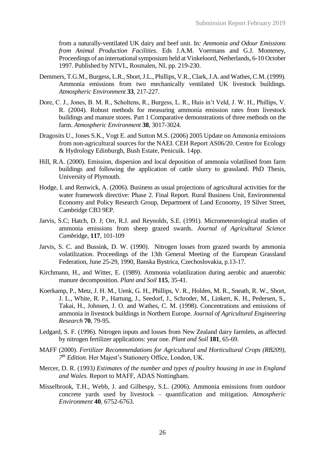from a naturally-ventilated UK dairy and beef unit. In*: Ammonia and Odour Emissions from Animal Production Facilities*. Eds J.A.M. Voermans and G.J. Monteney, Proceedings of an international symposium held at Vinkeloord, Netherlands, 6-10 October 1997. Published by NTVL, Rosmalen, NL pp. 219-230.

- Demmers, T.G.M., Burgess, L.R., Short, J.L., Phillips, V.R., Clark, J.A. and Wathes, C.M. (1999). Ammonia emissions from two mechanically ventilated UK livestock buildings. *Atmospheric Environment* **33**, 217-227.
- Dore, C. J., Jones, B. M. R., Scholtens, R., Burgess, L. R., Huis in't Veld, J. W. H., Phillips, V. R. (2004). Robust methods for measuring ammonia emission rates from livestock buildings and manure stores. Part 1 Comparative demonstrations of three methods on the farm. *Atmospheric Environment* **38**, 3017-3024.
- Dragosits U., Jones S.K., Vogt E. and Sutton M.S. (2006) 2005 Update on Ammonia emissions from non-agricultural sources for the NAEI. CEH Report AS06/20. Centre for Ecology & Hydrology Edinburgh, Bush Estate, Penicuik. 14pp.
- Hill, R.A. (2000). Emission, dispersion and local deposition of ammonia volatilised from farm buildings and following the application of cattle slurry to grassland. PhD Thesis, University of Plymouth.
- Hodge, I. and Renwick, A. (2006). Business as usual projections of agricultural activities for the water framework directive: Phase 2. Final Report. Rural Business Unit, Environmental Economy and Policy Research Group, Department of Land Economy, 19 Silver Street, Cambridge CB3 9EP.
- Jarvis, S.C; Hatch, D. J; Orr, R.J. and Reynolds, S.E. (1991). Micrometeorological studies of ammonia emissions from sheep grazed swards. *Journal of Agricultural Science Camb*ridge, **117**, 101-109
- Jarvis, S. C. and Bussink, D. W. (1990). Nitrogen losses from grazed swards by ammonia volatilization. Proceedings of the 13th General Meeting of the European Grassland Federation, June 25-29, 1990, Banska Bystrica, Czechoslovakia, p.13-17.
- Kirchmann, H., and Witter, E. (1989). Ammonia volatilization during aerobic and anaerobic manure decomposition. *Plant and Soil* **115**, 35-41.
- Koerkamp, P., Metz, J. H. M., Uenk, G. H., Phillips, V. R., Holden, M. R., Sneath, R. W., Short, J. L., White, R. P., Hartung, J., Seedorf, J., Schroder, M., Linkert, K. H., Pedersen, S., Takai, H., Johnsen, J. O. and Wathes, C. M. (1998). Concentrations and emissions of ammonia in livestock buildings in Northern Europe. *Journal of Agricultural Engineering Research* **70**, 79-95.
- Ledgard, S. F. (1996). Nitrogen inputs and losses from New Zealand dairy farmlets, as affected by nitrogen fertilizer applications: year one. *Plant and Soil* **181**, 65-69.
- MAFF (2000). *Fertilizer Recommendations for Agricultural and Horticultural Crops (RB209), 7 th Edition.* Her Majest's Stationery Office, London, UK.
- Mercer, D. R. (1993*) Estimates of the number and types of poultry housing in use in England and Wales.* Report to MAFF, ADAS Nottingham.
- Misselbrook, T.H., Webb, J. and Gilhespy, S.L. (2006). Ammonia emissions from outdoor concrete yards used by livestock – quantification and mitigation. *Atmospheric Environment* **40**, 6752-6763.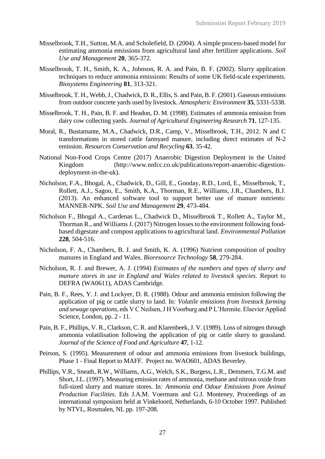- Misselbrook, T.H., Sutton, M.A. and Scholefield, D. (2004). A simple process-based model for estimating ammonia emissions from agricultural land after fertilizer applications. *Soil Use and Management* **20**, 365-372.
- Misselbrook, T. H., Smith, K. A., Johnson, R. A. and Pain, B. F. (2002). Slurry application techniques to reduce ammonia emissions: Results of some UK field-scale experiments. *Biosystems Engineering* **81**, 313-321.
- Misselbrook, T. H., Webb, J., Chadwick, D. R., Ellis, S. and Pain, B. F. (2001). Gaseous emissions from outdoor concrete yards used by livestock. *Atmospheric Environment* **35**, 5331-5338.
- Misselbrook, T. H., Pain, B. F. and Headon, D. M. (1998). Estimates of ammonia emission from dairy cow collecting yards. *Journal of Agricultural Engineering Research* **71**, 127-135.
- Moral, R., Bustamante, M.A., Chadwick, D.R., Camp, V., Misselbrook, T.H., 2012. N and C transformations in stored cattle farmyard manure, including direct estimates of N-2 emission. *Resources Conservation and Recycling* **63**, 35-42.
- National Non-Food Crops Centre (2017) Anaerobic Digestion Deployment in the United Kingdom (http://www.nnfcc.co.uk/publications/report-anaerobic-digestiondeployment-in-the-uk).
- Nicholson, F.A., Bhogal, A., Chadwick, D., Gill, E., Gooday, R.D., Lord, E., Misselbrook, T., Rollett, A.J., Sagoo, E., Smith, K.A., Thorman, R.E., Williams, J.R., Chambers, B.J. (2013). An enhanced software tool to support better use of manure nutrients: MANNER-NPK. *Soil Use and Management* **29**, 473-484.
- Nicholson F., Bhogal A., Cardenas L., Chadwick D., Misselbrook T., Rollett A., Taylor M., Thorman R., and Williams J. (2017) Nitrogen losses to the environment following foodbased digestate and compost applications to agricultural land. *Environmental Pollution* **228**, 504-516.
- Nicholson, F. A., Chambers, B. J. and Smith, K. A. (1996) Nutrient composition of poultry manures in England and Wales. *Bioresource Technology* **58**, 279-284.
- Nicholson, R. J. and Brewer, A. J. (1994) *Estimates of the numbers and types of slurry and manure stores in use in England and Wales related to livestock species*. Report to DEFRA (WA0611), ADAS Cambridge.
- Pain, B. F., Rees, Y. J. and Lockyer, D. R. (1988). Odour and ammonia emission following the application of pig or cattle slurry to land. In*: Volatile emissions from livestock farming and sewage operations*, eds V C Neilsen, J H Voorburg and P L'Hermite. Elsevier Applied Science, London, pp. 2 - 11.
- Pain, B. F., Phillips, V. R., Clarkson, C. R. and Klarenbeek, J. V. (1989). Loss of nitrogen through ammonia volatilisation following the application of pig or cattle slurry to grassland. *Journal of the Science of Food and Agriculture* **47**, 1-12.
- Peirson, S. (1995). Measurement of odour and ammonia emissions from livestock buildings, Phase 1 - Final Report to MAFF. Project no. WAO601, ADAS Beverley.
- Phillips, V.R., Sneath, R.W., Williams, A.G., Welch, S.K., Burgess, L.R., Demmers, T.G.M. and Short, J.L. (1997). Measuring emission rates of ammonia, methane and nitrous oxide from full-sized slurry and manure stores. In*: Ammonia and Odour Emissions from Animal Production Facilities*. Eds J.A.M. Voermans and G.J. Monteney, Proceedings of an international symposium held at Vinkeloord, Netherlands, 6-10 October 1997. Published by NTVL, Rosmalen, NL pp. 197-208.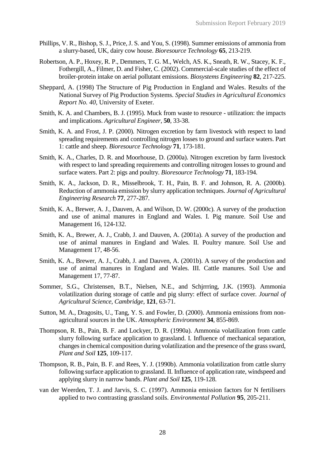- Phillips, V. R., Bishop, S. J., Price, J. S. and You, S. (1998). Summer emissions of ammonia from a slurry-based, UK, dairy cow house. *Bioresource Technology* **65**, 213-219.
- Robertson, A. P., Hoxey, R. P., Demmers, T. G. M., Welch, AS. K., Sneath, R. W., Stacey, K. F., Fothergill, A., Filmer, D. and Fisher, C. (2002). Commercial-scale studies of the effect of broiler-protein intake on aerial pollutant emissions. *Biosystems Engineering* **82**, 217-225.
- Sheppard, A. (1998) The Structure of Pig Production in England and Wales. Results of the National Survey of Pig Production Systems*. Special Studies in Agricultural Economics Report No. 40,* University of Exeter.
- Smith, K. A. and Chambers, B. J. (1995). Muck from waste to resource utilization: the impacts and implications. *Agricultural Engineer*, **50**, 33-38.
- Smith, K. A. and Frost, J. P. (2000). Nitrogen excretion by farm livestock with respect to land spreading requirements and controlling nitrogen losses to ground and surface waters. Part 1: cattle and sheep. *Bioresource Technology* **71**, 173-181.
- Smith, K. A., Charles, D. R. and Moorhouse, D. (2000a). Nitrogen excretion by farm livestock with respect to land spreading requirements and controlling nitrogen losses to ground and surface waters. Part 2: pigs and poultry. *Bioresource Technology* **71**, 183-194.
- Smith, K. A., Jackson, D. R., Misselbrook, T. H., Pain, B. F. and Johnson, R. A. (2000b). Reduction of ammonia emission by slurry application techniques. *Journal of Agricultural Engineering Research* **77**, 277-287.
- Smith, K. A., Brewer, A. J., Dauven, A. and Wilson, D. W. (2000c). A survey of the production and use of animal manures in England and Wales. I. Pig manure. Soil Use and Management 16, 124-132.
- Smith, K. A., Brewer, A. J., Crabb, J. and Dauven, A. (2001a). A survey of the production and use of animal manures in England and Wales. II. Poultry manure. Soil Use and Management 17, 48-56.
- Smith, K. A., Brewer, A. J., Crabb, J. and Dauven, A. (2001b). A survey of the production and use of animal manures in England and Wales. III. Cattle manures. Soil Use and Management 17, 77-87.
- Sommer, S.G., Christensen, B.T., Nielsen, N.E., and Schjrrring, J.K. (1993). Ammonia volatilization during storage of cattle and pig slurry: effect of surface cover. *Journal of Agricultural Science, Cambridge*, **121**, 63-71.
- Sutton, M. A., Dragosits, U., Tang, Y. S. and Fowler, D. (2000). Ammonia emissions from nonagricultural sources in the UK. *Atmospheric Environment* **34**, 855-869.
- Thompson, R. B., Pain, B. F. and Lockyer, D. R. (1990a). Ammonia volatilization from cattle slurry following surface application to grassland. I. Influence of mechanical separation, changes in chemical composition during volatilization and the presence of the grass sward, *Plant and Soil* **125**, 109-117.
- Thompson, R. B., Pain, B. F. and Rees, Y. J. (1990b). Ammonia volatilization from cattle slurry following surface application to grassland. II. Influence of application rate, windspeed and applying slurry in narrow bands. *Plant and Soil* **125**, 119-128.
- van der Weerden, T. J. and Jarvis, S. C. (1997). Ammonia emission factors for N fertilisers applied to two contrasting grassland soils. *Environmental Pollution* **95**, 205-211.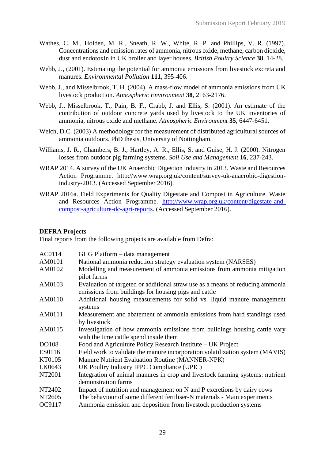- Wathes, C. M., Holden, M. R., Sneath, R. W., White, R. P. and Phillips, V. R. (1997). Concentrations and emission rates of ammonia, nitrous oxide, methane, carbon dioxide, dust and endotoxin in UK broiler and layer houses. *British Poultry Science* **38**, 14-28.
- Webb, J., (2001). Estimating the potential for ammonia emissions from livestock excreta and manures. *Environmental Pollution* **111**, 395-406.
- Webb, J., and Misselbrook, T. H. (2004). A mass-flow model of ammonia emissions from UK livestock production. *Atmospheric Environment* **38**, 2163-2176.
- Webb, J., Misselbrook, T., Pain, B. F., Crabb, J. and Ellis, S. (2001). An estimate of the contribution of outdoor concrete yards used by livestock to the UK inventories of ammonia, nitrous oxide and methane. *Atmospheric Environment* **35**, 6447-6451.
- Welch, D.C. (2003) A methodology for the measurement of distributed agricultural sources of ammonia outdoors. PhD thesis, University of Nottingham.
- Williams, J. R., Chambers, B. J., Hartley, A. R., Ellis, S. and Guise, H. J. (2000). Nitrogen losses from outdoor pig farming systems. *Soil Use and Management* **16**, 237-243.
- WRAP 2014. A survey of the UK Anaerobic Digestion industry in 2013. Waste and Resources Action Programme. http://www.wrap.org.uk/content/survey-uk-anaerobic-digestionindustry-2013. (Accessed September 2016).
- WRAP 2016a. Field Experiments for Quality Digestate and Compost in Agriculture. Waste and Resources Action Programme. [http://www.wrap.org.uk/content/digestate-and](http://www.wrap.org.uk/content/digestate-and-compost-agriculture-dc-agri-reports)[compost-agriculture-dc-agri-reports.](http://www.wrap.org.uk/content/digestate-and-compost-agriculture-dc-agri-reports) (Accessed September 2016).

# **DEFRA Projects**

Final reports from the following projects are available from Defra:

| AC0114        | GHG Platform – data management                                                                                                        |
|---------------|---------------------------------------------------------------------------------------------------------------------------------------|
| AM0101        | National ammonia reduction strategy evaluation system (NARSES)                                                                        |
| AM0102        | Modelling and measurement of ammonia emissions from ammonia mitigation<br>pilot farms                                                 |
| AM0103        | Evaluation of targeted or additional straw use as a means of reducing ammonia<br>emissions from buildings for housing pigs and cattle |
| AM0110        | Additional housing measurements for solid vs. liquid manure management<br>systems                                                     |
| AM0111        | Measurement and abatement of ammonia emissions from hard standings used<br>by livestock                                               |
| AM0115        | Investigation of how ammonia emissions from buildings housing cattle vary<br>with the time cattle spend inside them                   |
| <b>DO108</b>  | Food and Agriculture Policy Research Institute – UK Project                                                                           |
| ES0116        | Field work to validate the manure incorporation volatilization system (MAVIS)                                                         |
| KT0105        | Manure Nutrient Evaluation Routine (MANNER-NPK)                                                                                       |
| LK0643        | UK Poultry Industry IPPC Compliance (UPIC)                                                                                            |
| <b>NT2001</b> | Integration of animal manures in crop and livestock farming systems: nutrient<br>demonstration farms                                  |
| NT2402        | Impact of nutrition and management on N and P excretions by dairy cows                                                                |
| NT2605        | The behaviour of some different fertiliser-N materials - Main experiments                                                             |
| OC9117        | Ammonia emission and deposition from livestock production systems                                                                     |
|               |                                                                                                                                       |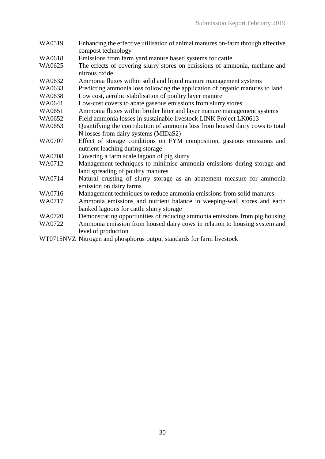- WA0519 Enhancing the effective utilisation of animal manures on-farm through effective compost technology
- WA0618 Emissions from farm yard manure based systems for cattle
- WA0625 The effects of covering slurry stores on emissions of ammonia, methane and nitrous oxide
- WA0632 Ammonia fluxes within solid and liquid manure management systems
- WA0633 Predicting ammonia loss following the application of organic manures to land
- WA0638 Low cost, aerobic stabilisation of poultry layer manure
- WA0641 Low-cost covers to abate gaseous emissions from slurry stores
- WA0651 Ammonia fluxes within broiler litter and layer manure management systems
- WA0652 Field ammonia losses in sustainable livestock LINK Project LK0613
- WA0653 Quantifying the contribution of ammonia loss from housed dairy cows to total N losses from dairy systems (MIDaS2)
- WA0707 Effect of storage conditions on FYM composition, gaseous emissions and nutrient leaching during storage
- WA0708 Covering a farm scale lagoon of pig slurry
- WA0712 Management techniques to minimise ammonia emissions during storage and land spreading of poultry manures
- WA0714 Natural crusting of slurry storage as an abatement measure for ammonia emission on dairy farms
- WA0716 Management techniques to reduce ammonia emissions from solid manures
- WA0717 Ammonia emissions and nutrient balance in weeping-wall stores and earth banked lagoons for cattle slurry storage
- WA0720 Demonstrating opportunities of reducing ammonia emissions from pig housing
- WA0722 Ammonia emission from housed dairy cows in relation to housing system and level of production
- WT0715NVZ Nitrogen and phosphorus output standards for farm livestock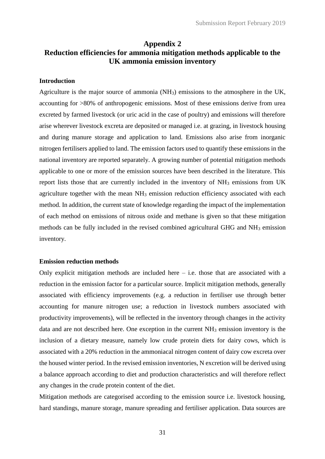# **Appendix 2 Reduction efficiencies for ammonia mitigation methods applicable to the UK ammonia emission inventory**

#### **Introduction**

Agriculture is the major source of ammonia (NH3) emissions to the atmosphere in the UK, accounting for >80% of anthropogenic emissions. Most of these emissions derive from urea excreted by farmed livestock (or uric acid in the case of poultry) and emissions will therefore arise wherever livestock excreta are deposited or managed i.e. at grazing, in livestock housing and during manure storage and application to land. Emissions also arise from inorganic nitrogen fertilisers applied to land. The emission factors used to quantify these emissions in the national inventory are reported separately. A growing number of potential mitigation methods applicable to one or more of the emission sources have been described in the literature. This report lists those that are currently included in the inventory of NH<sup>3</sup> emissions from UK agriculture together with the mean NH<sub>3</sub> emission reduction efficiency associated with each method. In addition, the current state of knowledge regarding the impact of the implementation of each method on emissions of nitrous oxide and methane is given so that these mitigation methods can be fully included in the revised combined agricultural GHG and NH<sup>3</sup> emission inventory.

#### **Emission reduction methods**

Only explicit mitigation methods are included here  $-$  i.e. those that are associated with a reduction in the emission factor for a particular source. Implicit mitigation methods, generally associated with efficiency improvements (e.g. a reduction in fertiliser use through better accounting for manure nitrogen use; a reduction in livestock numbers associated with productivity improvements), will be reflected in the inventory through changes in the activity data and are not described here. One exception in the current  $NH<sub>3</sub>$  emission inventory is the inclusion of a dietary measure, namely low crude protein diets for dairy cows, which is associated with a 20% reduction in the ammoniacal nitrogen content of dairy cow excreta over the housed winter period. In the revised emission inventories, N excretion will be derived using a balance approach according to diet and production characteristics and will therefore reflect any changes in the crude protein content of the diet.

Mitigation methods are categorised according to the emission source i.e. livestock housing, hard standings, manure storage, manure spreading and fertiliser application. Data sources are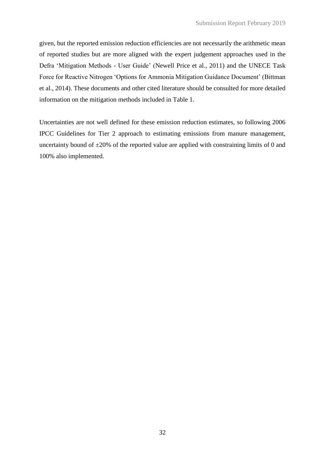given, but the reported emission reduction efficiencies are not necessarily the arithmetic mean of reported studies but are more aligned with the expert judgement approaches used in the Defra 'Mitigation Methods - User Guide' (Newell Price et al., 2011) and the UNECE Task Force for Reactive Nitrogen 'Options for Ammonia Mitigation Guidance Document' (Bittman et al., 2014). These documents and other cited literature should be consulted for more detailed information on the mitigation methods included in Table 1.

Uncertainties are not well defined for these emission reduction estimates, so following 2006 IPCC Guidelines for Tier 2 approach to estimating emissions from manure management, uncertainty bound of  $\pm 20\%$  of the reported value are applied with constraining limits of 0 and 100% also implemented.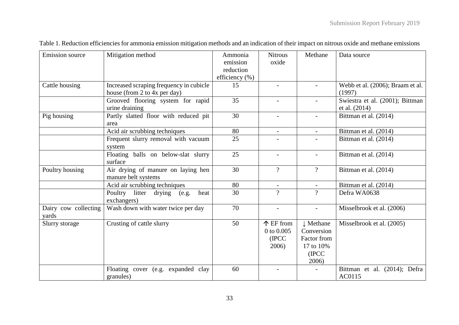| <b>Emission</b> source<br>Cattle housing | Mitigation method<br>Increased scraping frequency in cubicle<br>house (from 2 to 4x per day) | Ammonia<br>emission<br>reduction<br>efficiency (%)<br>15 | <b>Nitrous</b><br>oxide<br>$\overline{\phantom{a}}$ | Methane                                                               | Data source<br>Webb et al. (2006); Braam et al.<br>(1997) |
|------------------------------------------|----------------------------------------------------------------------------------------------|----------------------------------------------------------|-----------------------------------------------------|-----------------------------------------------------------------------|-----------------------------------------------------------|
|                                          | Grooved flooring system for rapid<br>urine draining                                          | 35                                                       |                                                     |                                                                       | Swiestra et al. (2001); Bittman<br>et al. (2014)          |
| Pig housing                              | Partly slatted floor with reduced pit<br>area                                                | 30                                                       | $\blacksquare$                                      |                                                                       | Bittman et al. (2014)                                     |
|                                          | Acid air scrubbing techniques                                                                | 80                                                       | $\overline{\phantom{a}}$                            | $\overline{\phantom{0}}$                                              | Bittman et al. (2014)                                     |
|                                          | Frequent slurry removal with vacuum<br>system                                                | 25                                                       |                                                     |                                                                       | Bittman et al. (2014)                                     |
|                                          | Floating balls on below-slat slurry<br>surface                                               | 25                                                       | $\overline{\phantom{a}}$                            | $\overline{a}$                                                        | Bittman et al. (2014)                                     |
| Poultry housing                          | Air drying of manure on laying hen<br>manure belt systems                                    | 30                                                       | $\overline{?}$                                      | $\overline{?}$                                                        | Bittman et al. (2014)                                     |
|                                          | Acid air scrubbing techniques                                                                | 80                                                       |                                                     |                                                                       | Bittman et al. (2014)                                     |
|                                          | litter<br>Poultry<br>heat<br>drying<br>(e.g.<br>exchangers)                                  | 30                                                       | $\overline{?}$                                      | $\gamma$                                                              | Defra WA0638                                              |
| Dairy cow collecting<br>yards            | Wash down with water twice per day                                                           | 70                                                       | $\overline{\phantom{a}}$                            | $\overline{\phantom{a}}$                                              | Misselbrook et al. (2006)                                 |
| Slurry storage                           | Crusting of cattle slurry                                                                    | 50                                                       | $\uparrow$ EF from<br>0 to 0.005<br>(IPCC)<br>2006) | ↓ Methane<br>Conversion<br>Factor from<br>17 to 10%<br>(IPCC<br>2006) | Misselbrook et al. (2005)                                 |
|                                          | Floating cover (e.g. expanded clay<br>granules)                                              | 60                                                       |                                                     |                                                                       | Bittman et al. (2014); Defra<br>AC0115                    |

Table 1. Reduction efficiencies for ammonia emission mitigation methods and an indication of their impact on nitrous oxide and methane emissions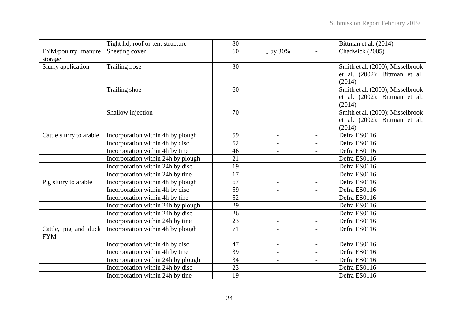|                                    | Tight lid, roof or tent structure  | 80              | $\overline{\phantom{0}}$ | $\overline{\phantom{0}}$ | Bittman et al. (2014)            |
|------------------------------------|------------------------------------|-----------------|--------------------------|--------------------------|----------------------------------|
| FYM/poultry manure                 | Sheeting cover                     | 60              | $\downarrow$ by 30%      |                          | Chadwick (2005)                  |
| storage                            |                                    |                 |                          |                          |                                  |
| Slurry application                 | Trailing hose                      | 30              | $\overline{a}$           | $\overline{a}$           | Smith et al. (2000); Misselbrook |
|                                    |                                    |                 |                          |                          | et al. (2002); Bittman et al.    |
|                                    |                                    |                 |                          |                          | (2014)                           |
|                                    | Trailing shoe                      | 60              |                          |                          | Smith et al. (2000); Misselbrook |
|                                    |                                    |                 |                          |                          | et al. (2002); Bittman et al.    |
|                                    |                                    |                 |                          |                          | (2014)                           |
|                                    | Shallow injection                  | 70              |                          |                          | Smith et al. (2000); Misselbrook |
|                                    |                                    |                 |                          |                          | et al. (2002); Bittman et al.    |
|                                    |                                    |                 |                          |                          | (2014)                           |
| Cattle slurry to arable            | Incorporation within 4h by plough  | 59              | $\blacksquare$           | $\overline{\phantom{0}}$ | Defra ES0116                     |
|                                    | Incorporation within 4h by disc    | 52              | $\blacksquare$           | $\frac{1}{2}$            | Defra ES0116                     |
|                                    | Incorporation within 4h by tine    | 46              | $\blacksquare$           | $\overline{\phantom{a}}$ | Defra ES0116                     |
|                                    | Incorporation within 24h by plough | 21              | $\blacksquare$           | $\overline{\phantom{0}}$ | Defra ES0116                     |
|                                    | Incorporation within 24h by disc   | 19              | $\blacksquare$           | $\overline{\phantom{0}}$ | Defra ES0116                     |
|                                    | Incorporation within 24h by tine   | $\overline{17}$ | $\blacksquare$           | $\overline{\phantom{a}}$ | Defra ES0116                     |
| Pig slurry to arable               | Incorporation within 4h by plough  | 67              |                          | $\frac{1}{2}$            | Defra ES0116                     |
|                                    | Incorporation within 4h by disc    | 59              | $\overline{\phantom{a}}$ | $\frac{1}{2}$            | Defra ES0116                     |
|                                    | Incorporation within 4h by tine    | 52              | $\overline{\phantom{a}}$ | $\overline{a}$           | Defra ES0116                     |
|                                    | Incorporation within 24h by plough | 29              | $\overline{\phantom{a}}$ | $\overline{a}$           | Defra ES0116                     |
|                                    | Incorporation within 24h by disc   | 26              | $\blacksquare$           | $\overline{\phantom{0}}$ | Defra ES0116                     |
|                                    | Incorporation within 24h by tine   | 23              | $\overline{\phantom{a}}$ | $\overline{\phantom{0}}$ | Defra ES0116                     |
| Cattle, pig and duck<br><b>FYM</b> | Incorporation within 4h by plough  | 71              | $\overline{\phantom{a}}$ |                          | Defra ES0116                     |
|                                    | Incorporation within 4h by disc    | 47              | $\overline{\phantom{a}}$ | $\overline{a}$           | Defra ES0116                     |
|                                    | Incorporation within 4h by tine    | 39              | $\blacksquare$           | $\overline{\phantom{0}}$ | Defra ES0116                     |
|                                    | Incorporation within 24h by plough | 34              | $\overline{\phantom{a}}$ | $\overline{a}$           | Defra ES0116                     |
|                                    | Incorporation within 24h by disc   | 23              | $\blacksquare$           | $\overline{\phantom{a}}$ | Defra ES0116                     |
|                                    | Incorporation within 24h by tine   | 19              |                          | $\overline{a}$           | Defra ES0116                     |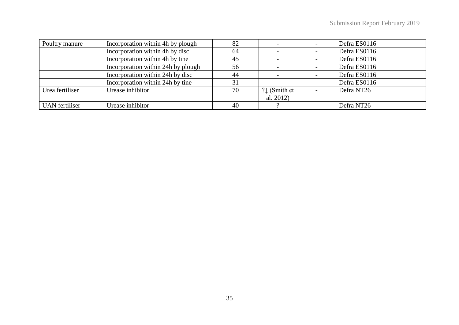| Poultry manure        | Incorporation within 4h by plough  | 82 |                          |                          | Defra ES0116 |
|-----------------------|------------------------------------|----|--------------------------|--------------------------|--------------|
|                       | Incorporation within 4h by disc    | 64 |                          |                          | Defra ES0116 |
|                       | Incorporation within 4h by tine    | 45 |                          |                          | Defra ES0116 |
|                       | Incorporation within 24h by plough | 56 |                          |                          | Defra ES0116 |
|                       | Incorporation within 24h by disc   | 44 |                          |                          | Defra ES0116 |
|                       | Incorporation within 24h by tine   | 31 |                          |                          | Defra ES0116 |
| Urea fertiliser       | Urease inhibitor                   | 70 | $? \downarrow$ (Smith et | $\overline{\phantom{a}}$ | Defra NT26   |
|                       |                                    |    | al. $2012$ )             |                          |              |
| <b>UAN</b> fertiliser | Urease inhibitor                   | 40 |                          |                          | Defra NT26   |